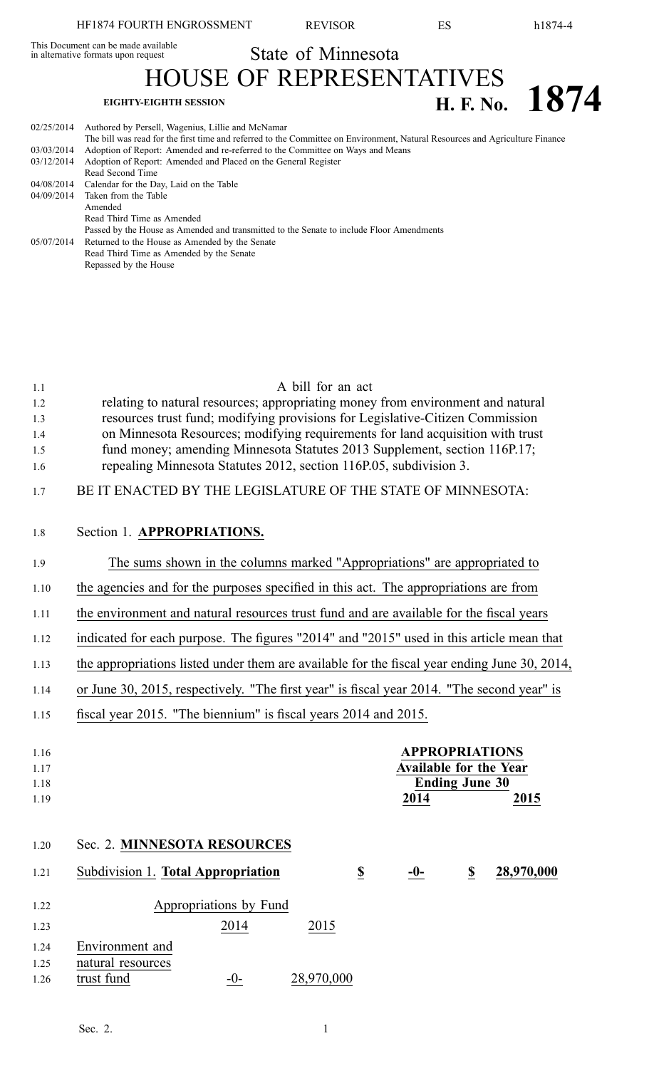This Document can be made available<br>in alternative formats upon request

State of Minnesota

HOUSE OF REPRESENTATIVES **EIGHTY-EIGHTH SESSION**<br>**EIGHTY-EIGHTH SESSION H. F.** No. **1874** 

| 02/25/2014 | Authored by Persell, Wagenius, Lillie and McNamar<br>The bill was read for the first time and referred to the Committee on Environment, Natural Resources and Agriculture Finance |
|------------|-----------------------------------------------------------------------------------------------------------------------------------------------------------------------------------|
| 03/03/2014 | Adoption of Report: Amended and re-referred to the Committee on Ways and Means                                                                                                    |
| 03/12/2014 | Adoption of Report: Amended and Placed on the General Register                                                                                                                    |
|            | Read Second Time                                                                                                                                                                  |
|            | 04/08/2014 Calendar for the Day, Laid on the Table                                                                                                                                |
|            | 04/09/2014 Taken from the Table                                                                                                                                                   |
|            | Amended                                                                                                                                                                           |
|            | Read Third Time as Amended                                                                                                                                                        |
|            | Passed by the House as Amended and transmitted to the Senate to include Floor Amendments                                                                                          |
| 05/07/2014 | Returned to the House as Amended by the Senate                                                                                                                                    |
|            | Read Third Time as Amended by the Senate                                                                                                                                          |
|            | Repassed by the House                                                                                                                                                             |
|            |                                                                                                                                                                                   |

| 1.1<br>1.2<br>1.3<br>1.4<br>1.5<br>1.6<br>1.7 | A bill for an act<br>relating to natural resources; appropriating money from environment and natural<br>resources trust fund; modifying provisions for Legislative-Citizen Commission<br>on Minnesota Resources; modifying requirements for land acquisition with trust<br>fund money; amending Minnesota Statutes 2013 Supplement, section 116P.17;<br>repealing Minnesota Statutes 2012, section 116P.05, subdivision 3.<br>BE IT ENACTED BY THE LEGISLATURE OF THE STATE OF MINNESOTA: |
|-----------------------------------------------|-------------------------------------------------------------------------------------------------------------------------------------------------------------------------------------------------------------------------------------------------------------------------------------------------------------------------------------------------------------------------------------------------------------------------------------------------------------------------------------------|
| 1.8                                           | Section 1. APPROPRIATIONS.                                                                                                                                                                                                                                                                                                                                                                                                                                                                |
| 1.9                                           | The sums shown in the columns marked "Appropriations" are appropriated to                                                                                                                                                                                                                                                                                                                                                                                                                 |
| 1.10                                          | the agencies and for the purposes specified in this act. The appropriations are from                                                                                                                                                                                                                                                                                                                                                                                                      |
| 1.11                                          | the environment and natural resources trust fund and are available for the fiscal years                                                                                                                                                                                                                                                                                                                                                                                                   |
| 1.12                                          | indicated for each purpose. The figures "2014" and "2015" used in this article mean that                                                                                                                                                                                                                                                                                                                                                                                                  |
| 1.13                                          | the appropriations listed under them are available for the fiscal year ending June 30, 2014,                                                                                                                                                                                                                                                                                                                                                                                              |
| 1.14                                          | or June 30, 2015, respectively. "The first year" is fiscal year 2014. "The second year" is                                                                                                                                                                                                                                                                                                                                                                                                |
| 1.15                                          | fiscal year 2015. "The biennium" is fiscal years 2014 and 2015.                                                                                                                                                                                                                                                                                                                                                                                                                           |
| 1.16<br>1.17<br>1.18<br>1.19                  | <b>APPROPRIATIONS</b><br><b>Available for the Year</b><br><b>Ending June 30</b><br>2014<br>2015                                                                                                                                                                                                                                                                                                                                                                                           |
| 1.20                                          | Sec. 2. MINNESOTA RESOURCES                                                                                                                                                                                                                                                                                                                                                                                                                                                               |
| 1.21                                          | 28,970,000<br>Subdivision 1. Total Appropriation<br>$\underline{\mathbb{S}}$<br>$\underline{\mathbb{S}}$<br>$-0-$                                                                                                                                                                                                                                                                                                                                                                         |
| 1.22<br>1.23<br>1.24<br>1.25<br>1.26          | Appropriations by Fund<br>2014<br>2015<br>Environment and<br>natural resources<br>trust fund<br>28,970,000<br>$-0$ -                                                                                                                                                                                                                                                                                                                                                                      |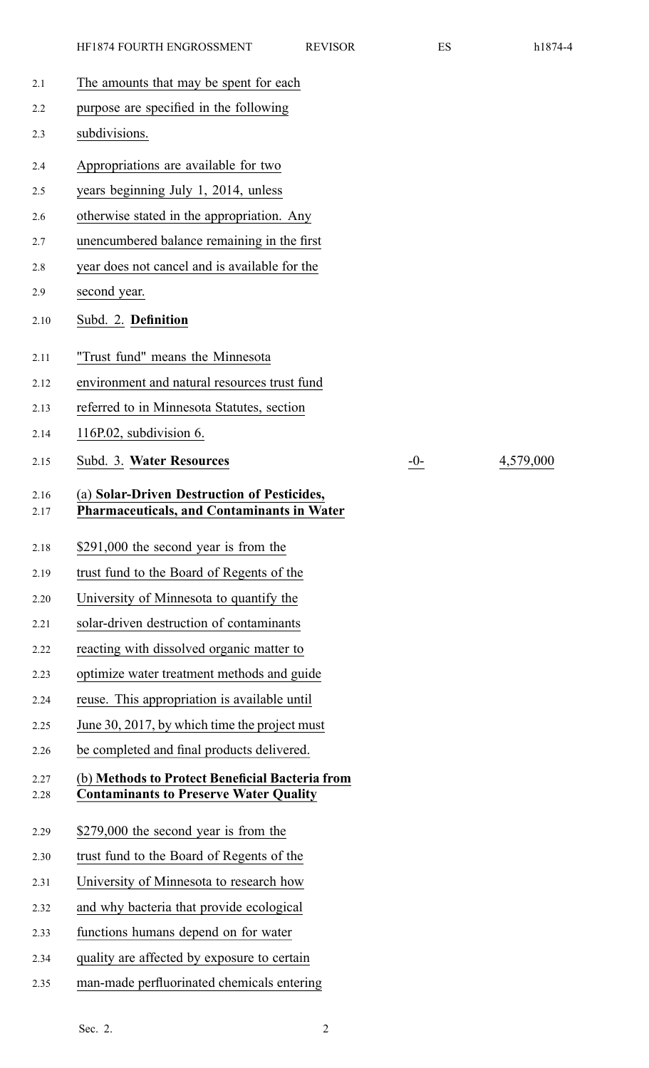| 2.1          | The amounts that may be spent for each                                                           |       |
|--------------|--------------------------------------------------------------------------------------------------|-------|
| 2.2          | purpose are specified in the following                                                           |       |
| 2.3          | subdivisions.                                                                                    |       |
| 2.4          | Appropriations are available for two                                                             |       |
| 2.5          | years beginning July 1, 2014, unless                                                             |       |
| 2.6          | otherwise stated in the appropriation. Any                                                       |       |
| 2.7          | unencumbered balance remaining in the first                                                      |       |
| 2.8          | year does not cancel and is available for the                                                    |       |
| 2.9          | second year.                                                                                     |       |
| 2.10         | Subd. 2. Definition                                                                              |       |
| 2.11         | "Trust fund" means the Minnesota                                                                 |       |
| 2.12         | environment and natural resources trust fund                                                     |       |
| 2.13         | referred to in Minnesota Statutes, section                                                       |       |
| 2.14         | 116P.02, subdivision $6$ .                                                                       |       |
| 2.15         | Subd. 3. Water Resources                                                                         | $-$ ( |
| 2.16<br>2.17 | (a) Solar-Driven Destruction of Pesticides,<br><b>Pharmaceuticals, and Contaminants in Water</b> |       |
| 2.18         | \$291,000 the second year is from the                                                            |       |
| 2.19         | trust fund to the Board of Regents of the                                                        |       |
| 2.20         | University of Minnesota to quantify the                                                          |       |
| 2.21         | solar-driven destruction of contaminants                                                         |       |
| 2.22         | reacting with dissolved organic matter to                                                        |       |
| 2.23         | optimize water treatment methods and guide                                                       |       |
| 2.24         | reuse. This appropriation is available until                                                     |       |
| 2.25         | June 30, 2017, by which time the project must                                                    |       |
| 2.26         | be completed and final products delivered.                                                       |       |
| 2.27<br>2.28 | (b) Methods to Protect Beneficial Bacteria from<br><b>Contaminants to Preserve Water Quality</b> |       |
| 2.29         | \$279,000 the second year is from the                                                            |       |
| 2.30         | trust fund to the Board of Regents of the                                                        |       |
| 2.31         | University of Minnesota to research how                                                          |       |
| 2.32         | and why bacteria that provide ecological                                                         |       |
| 2.33         | functions humans depend on for water                                                             |       |
| 2.34         | quality are affected by exposure to certain                                                      |       |
| 2.35         | man-made perfluorinated chemicals entering                                                       |       |

2.15 Subd. 3. **Water Resources** -0- 4,579,000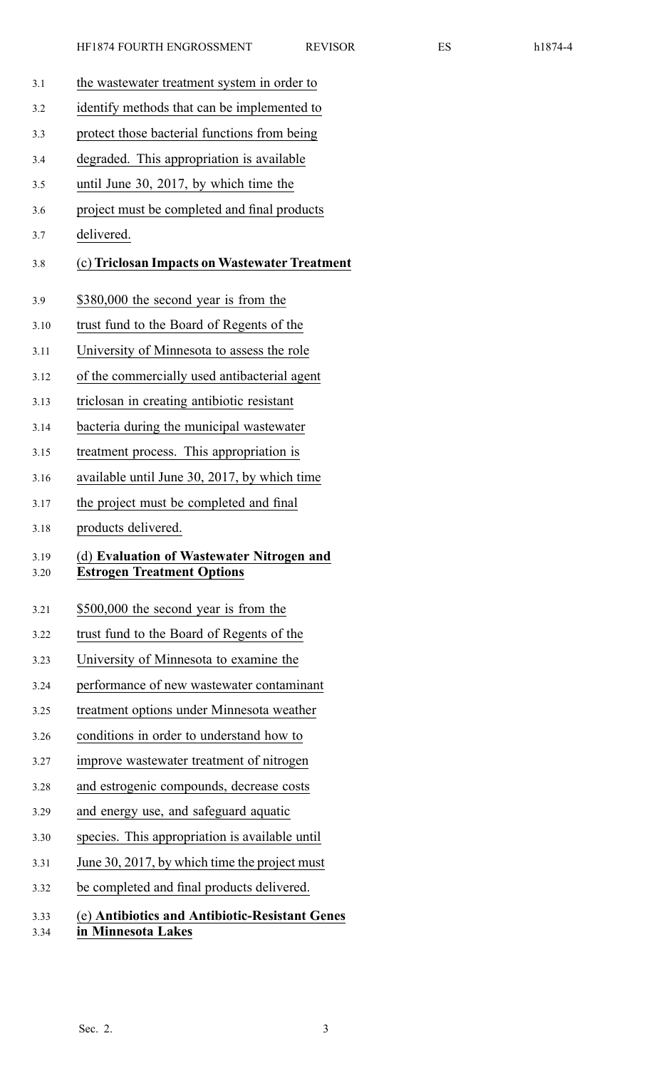3.1 the wastewater treatment system in order to 3.2 identify methods that can be implemented to 3.3 protect those bacterial functions from being 3.4 degraded. This appropriation is available 3.5 until June 30, 2017, by which time the 3.6 project must be completed and final products 3.7 delivered. 3.8 (c) **Triclosan Impacts on Wastewater Treatment** 3.9 \$380,000 the second year is from the 3.10 trust fund to the Board of Regents of the 3.11 University of Minnesota to assess the role 3.12 of the commercially used antibacterial agen<sup>t</sup> 3.13 triclosan in creating antibiotic resistant 3.14 bacteria during the municipal wastewater 3.15 treatment process. This appropriation is 3.16 available until June 30, 2017, by which time 3.17 the project must be completed and final 3.18 products delivered. 3.19 (d) **Evaluation of Wastewater Nitrogen and** 3.20 **Estrogen Treatment Options** 3.21 \$500,000 the second year is from the 3.22 trust fund to the Board of Regents of the 3.23 University of Minnesota to examine the 3.24 performance of new wastewater contaminant 3.25 treatment options under Minnesota weather 3.26 conditions in order to understand how to 3.27 improve wastewater treatment of nitrogen 3.28 and estrogenic compounds, decrease costs 3.29 and energy use, and safeguard aquatic 3.30 species. This appropriation is available until 3.31 June 30, 2017, by which time the project must 3.32 be completed and final products delivered.

# 3.33 (e) **Antibiotics and Antibiotic-Resistant Genes**

3.34 **in Minnesota Lakes**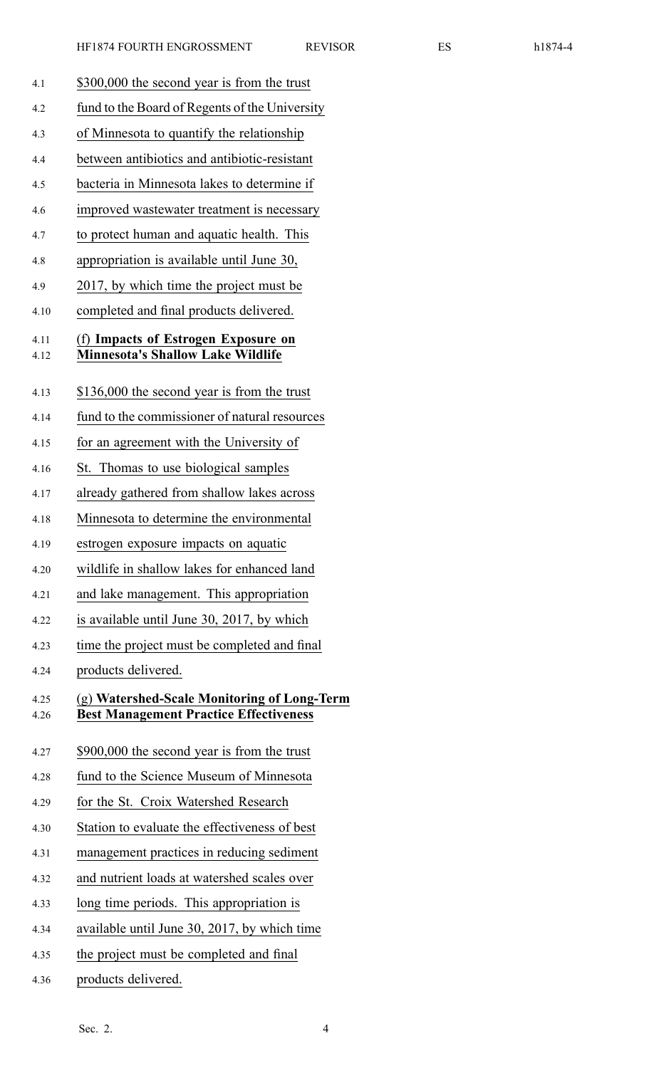- 4.1 \$300,000 the second year is from the trust 4.2 fund to the Board of Regents of the University 4.3 of Minnesota to quantify the relationship 4.4 between antibiotics and antibiotic-resistant 4.5 bacteria in Minnesota lakes to determine if 4.6 improved wastewater treatment is necessary 4.7 to protect human and aquatic health. This 4.8 appropriation is available until June 30, 4.9 2017, by which time the project must be 4.10 completed and final products delivered. 4.11 (f) **Impacts of Estrogen Exposure on** 4.12 **Minnesota's Shallow Lake Wildlife** 4.13 \$136,000 the second year is from the trust 4.14 fund to the commissioner of natural resources 4.15 for an agreemen<sup>t</sup> with the University of 4.16 St. Thomas to use biological samples 4.17 already gathered from shallow lakes across 4.18 Minnesota to determine the environmental 4.19 estrogen exposure impacts on aquatic 4.20 wildlife in shallow lakes for enhanced land 4.21 and lake management. This appropriation 4.22 is available until June 30, 2017, by which 4.23 time the project must be completed and final 4.24 products delivered. 4.25 (g) **Watershed-Scale Monitoring of Long-Term** 4.26 **Best Management Practice Effectiveness** 4.27 \$900,000 the second year is from the trust 4.28 fund to the Science Museum of Minnesota 4.29 for the St. Croix Watershed Research 4.30 Station to evaluate the effectiveness of best 4.31 managemen<sup>t</sup> practices in reducing sediment 4.32 and nutrient loads at watershed scales over 4.33 long time periods. This appropriation is 4.34 available until June 30, 2017, by which time 4.35 the project must be completed and final
- 4.36 products delivered.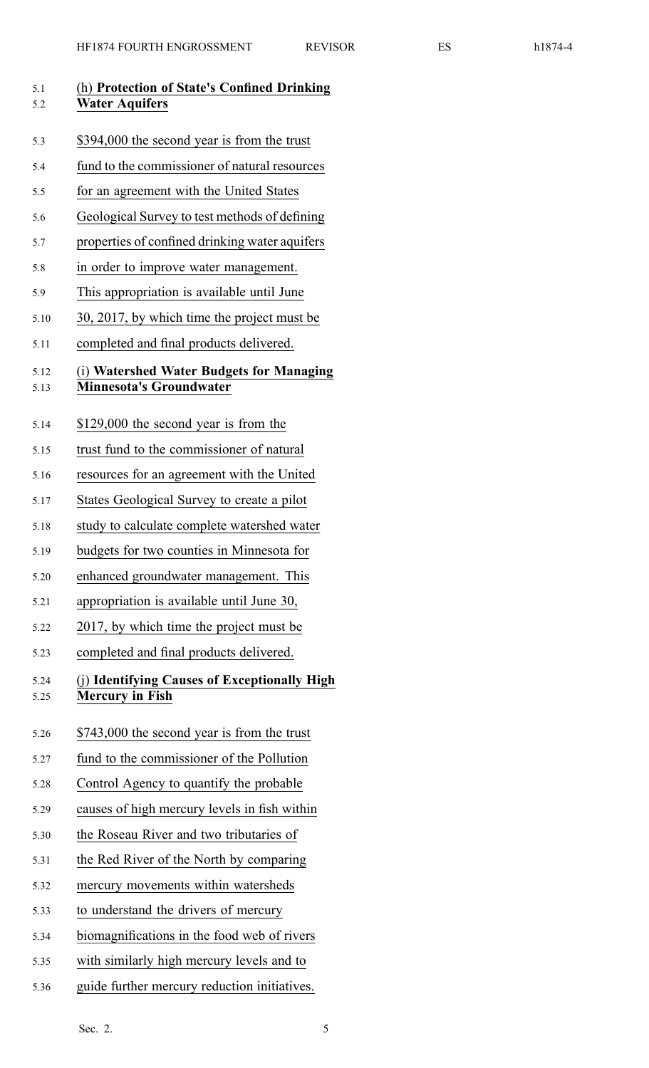| nı | ×<br>Λ |  |
|----|--------|--|
|----|--------|--|

| 5.1<br>5.2   | (h) Protection of State's Confined Drinking<br><b>Water Aquifers</b>       |
|--------------|----------------------------------------------------------------------------|
| 5.3          | \$394,000 the second year is from the trust                                |
| 5.4          | fund to the commissioner of natural resources                              |
| 5.5          | for an agreement with the United States                                    |
| 5.6          | Geological Survey to test methods of defining                              |
| 5.7          | properties of confined drinking water aquifers                             |
| 5.8          | in order to improve water management.                                      |
| 5.9          | This appropriation is available until June                                 |
| 5.10         | 30, 2017, by which time the project must be                                |
| 5.11         | completed and final products delivered.                                    |
| 5.12<br>5.13 | (i) Watershed Water Budgets for Managing<br><b>Minnesota's Groundwater</b> |
| 5.14         | \$129,000 the second year is from the                                      |
| 5.15         | trust fund to the commissioner of natural                                  |
| 5.16         | resources for an agreement with the United                                 |
| 5.17         | States Geological Survey to create a pilot                                 |
| 5.18         | study to calculate complete watershed water                                |
| 5.19         | budgets for two counties in Minnesota for                                  |
| 5.20         | enhanced groundwater management. This                                      |
| 5.21         | appropriation is available until June 30,                                  |
| 5.22         | 2017, by which time the project must be                                    |
| 5.23         | completed and final products delivered.                                    |
| 5.24<br>5.25 | (j) Identifying Causes of Exceptionally High<br><b>Mercury in Fish</b>     |
| 5.26         | \$743,000 the second year is from the trust                                |
| 5.27         | fund to the commissioner of the Pollution                                  |
| 5.28         | Control Agency to quantify the probable                                    |
| 5.29         | causes of high mercury levels in fish within                               |
| 5.30         | the Roseau River and two tributaries of                                    |
| 5.31         | the Red River of the North by comparing                                    |
| 5.32         | mercury movements within watersheds                                        |
| 5.33         | to understand the drivers of mercury                                       |
| 5.34         | biomagnifications in the food web of rivers                                |
| 5.35         | with similarly high mercury levels and to                                  |

5.36 guide further mercury reduction initiatives.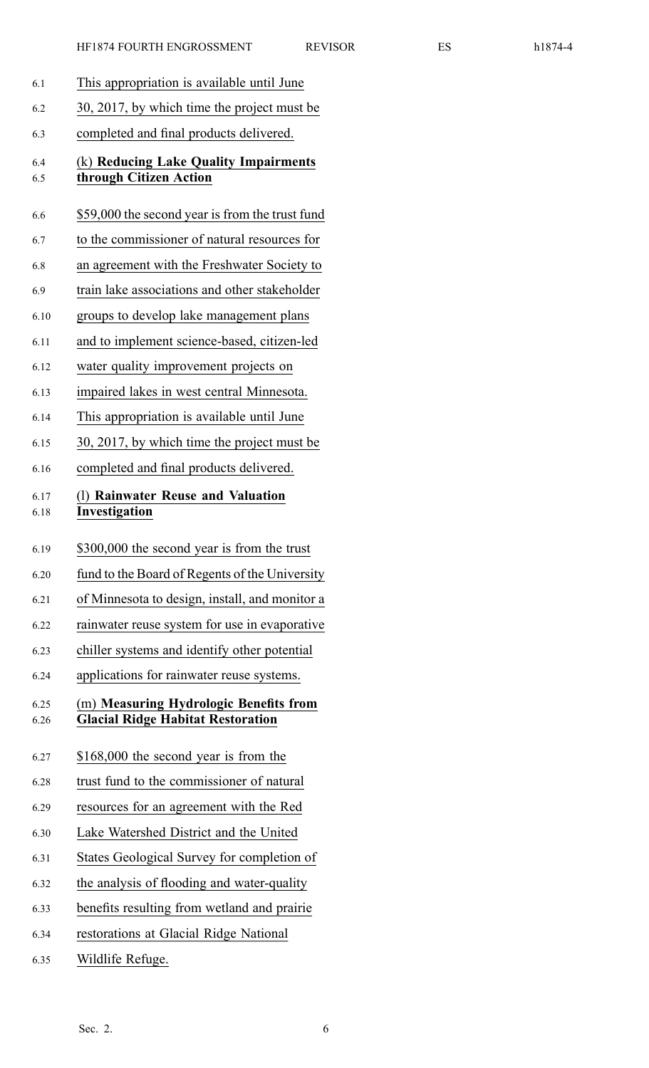|--|--|--|

| 6.1          | This appropriation is available until June                                         |
|--------------|------------------------------------------------------------------------------------|
| 6.2          | 30, 2017, by which time the project must be                                        |
| 6.3          | completed and final products delivered.                                            |
| 6.4<br>6.5   | (k) Reducing Lake Quality Impairments<br>through Citizen Action                    |
| 6.6          | \$59,000 the second year is from the trust fund                                    |
| 6.7          | to the commissioner of natural resources for                                       |
| 6.8          | an agreement with the Freshwater Society to                                        |
| 6.9          | train lake associations and other stakeholder                                      |
| 6.10         | groups to develop lake management plans                                            |
| 6.11         | and to implement science-based, citizen-led                                        |
| 6.12         | water quality improvement projects on                                              |
| 6.13         | impaired lakes in west central Minnesota.                                          |
| 6.14         | This appropriation is available until June                                         |
| 6.15         | 30, 2017, by which time the project must be                                        |
| 6.16         | completed and final products delivered.                                            |
| 6.17<br>6.18 | (1) Rainwater Reuse and Valuation<br>Investigation                                 |
| 6.19         | \$300,000 the second year is from the trust                                        |
| 6.20         | fund to the Board of Regents of the University                                     |
| 6.21         | of Minnesota to design, install, and monitor a                                     |
| 6.22         | rainwater reuse system for use in evaporative                                      |
| 6.23         | chiller systems and identify other potential                                       |
| 6.24         | applications for rainwater reuse systems.                                          |
| 6.25<br>6.26 | (m) Measuring Hydrologic Benefits from<br><b>Glacial Ridge Habitat Restoration</b> |
| 6.27         | \$168,000 the second year is from the                                              |
| 6.28         | trust fund to the commissioner of natural                                          |
| 6.29         | resources for an agreement with the Red                                            |
| 6.30         | Lake Watershed District and the United                                             |
| 6.31         | States Geological Survey for completion of                                         |
| 6.32         | the analysis of flooding and water-quality                                         |
| 6.33         | benefits resulting from wetland and prairie                                        |
| 6.34         | restorations at Glacial Ridge National                                             |
| 6.35         | Wildlife Refuge.                                                                   |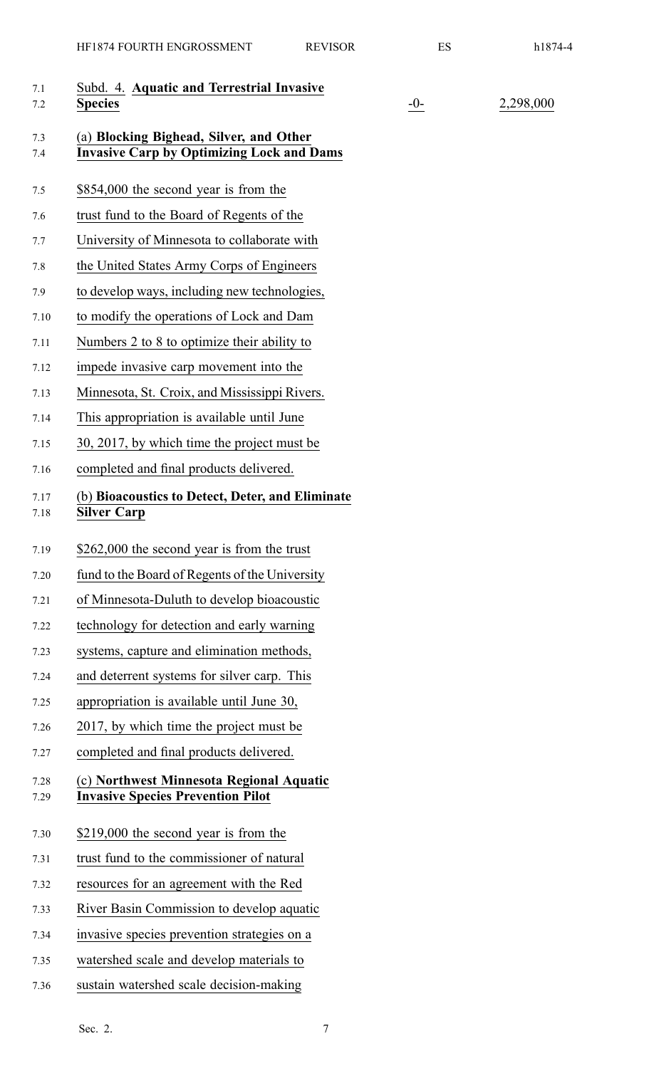| 7.1<br>7.2   | Subd. 4. Aquatic and Terrestrial Invasive<br><b>Species</b>                                 | $-0-$ | 2,298,000 |
|--------------|---------------------------------------------------------------------------------------------|-------|-----------|
| 7.3<br>7.4   | (a) Blocking Bighead, Silver, and Other<br><b>Invasive Carp by Optimizing Lock and Dams</b> |       |           |
| 7.5          | \$854,000 the second year is from the                                                       |       |           |
| 7.6          | trust fund to the Board of Regents of the                                                   |       |           |
| 7.7          | University of Minnesota to collaborate with                                                 |       |           |
| 7.8          | the United States Army Corps of Engineers                                                   |       |           |
| 7.9          | to develop ways, including new technologies,                                                |       |           |
| 7.10         | to modify the operations of Lock and Dam                                                    |       |           |
| 7.11         | Numbers 2 to 8 to optimize their ability to                                                 |       |           |
| 7.12         | impede invasive carp movement into the                                                      |       |           |
| 7.13         | Minnesota, St. Croix, and Mississippi Rivers.                                               |       |           |
| 7.14         | This appropriation is available until June                                                  |       |           |
| 7.15         | 30, 2017, by which time the project must be                                                 |       |           |
| 7.16         | completed and final products delivered.                                                     |       |           |
| 7.17<br>7.18 | (b) Bioacoustics to Detect, Deter, and Eliminate<br><b>Silver Carp</b>                      |       |           |
| 7.19         | \$262,000 the second year is from the trust                                                 |       |           |
| 7.20         | fund to the Board of Regents of the University                                              |       |           |
| 7.21         | of Minnesota-Duluth to develop bioacoustic                                                  |       |           |
| 7.22         | technology for detection and early warning                                                  |       |           |
| 7.23         | systems, capture and elimination methods,                                                   |       |           |
| 7.24         | and deterrent systems for silver carp. This                                                 |       |           |
| 7.25         | appropriation is available until June 30,                                                   |       |           |
| 7.26         | 2017, by which time the project must be                                                     |       |           |
| 7.27         | completed and final products delivered.                                                     |       |           |
| 7.28<br>7.29 | (c) Northwest Minnesota Regional Aquatic<br><b>Invasive Species Prevention Pilot</b>        |       |           |
| 7.30         | \$219,000 the second year is from the                                                       |       |           |
| 7.31         | trust fund to the commissioner of natural                                                   |       |           |
| 7.32         | resources for an agreement with the Red                                                     |       |           |
| 7.33         | River Basin Commission to develop aquatic                                                   |       |           |
| 7.34         | invasive species prevention strategies on a                                                 |       |           |
| 7.35         | watershed scale and develop materials to                                                    |       |           |
| 7.36         | sustain watershed scale decision-making                                                     |       |           |
|              |                                                                                             |       |           |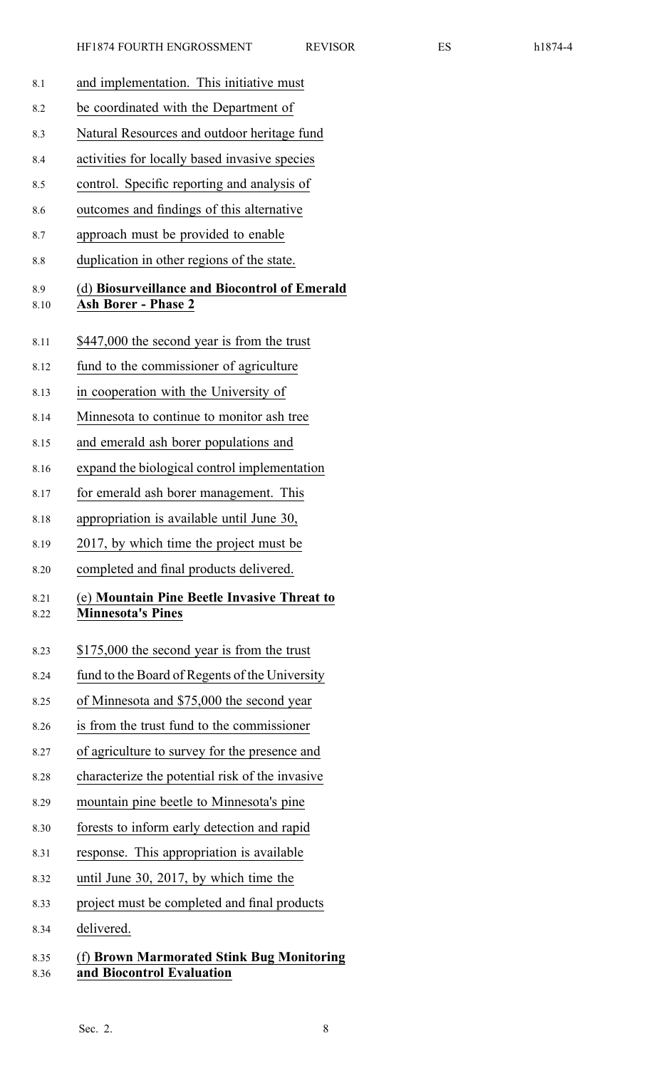| 8.1          | and implementation. This initiative must                                    |
|--------------|-----------------------------------------------------------------------------|
| 8.2          | be coordinated with the Department of                                       |
| 8.3          | Natural Resources and outdoor heritage fund                                 |
| 8.4          | activities for locally based invasive species                               |
| 8.5          | control. Specific reporting and analysis of                                 |
| 8.6          | outcomes and findings of this alternative                                   |
| 8.7          | approach must be provided to enable                                         |
| 8.8          | duplication in other regions of the state.                                  |
| 8.9<br>8.10  | (d) Biosurveillance and Biocontrol of Emerald<br><b>Ash Borer - Phase 2</b> |
| 8.11         | \$447,000 the second year is from the trust                                 |
| 8.12         | fund to the commissioner of agriculture                                     |
| 8.13         | in cooperation with the University of                                       |
| 8.14         | Minnesota to continue to monitor ash tree                                   |
| 8.15         | and emerald ash borer populations and                                       |
| 8.16         | expand the biological control implementation                                |
| 8.17         | for emerald ash borer management. This                                      |
| 8.18         | appropriation is available until June 30,                                   |
| 8.19         | 2017, by which time the project must be                                     |
| 8.20         | completed and final products delivered.                                     |
| 8.21<br>8.22 | (e) Mountain Pine Beetle Invasive Threat to<br><b>Minnesota's Pines</b>     |
| 8.23         | \$175,000 the second year is from the trust                                 |
| 8.24         | fund to the Board of Regents of the University                              |
| 8.25         | of Minnesota and \$75,000 the second year                                   |
| 8.26         | is from the trust fund to the commissioner                                  |
| 8.27         | of agriculture to survey for the presence and                               |
| 8.28         | characterize the potential risk of the invasive                             |
| 8.29         | mountain pine beetle to Minnesota's pine                                    |
| 8.30         | forests to inform early detection and rapid                                 |
| 8.31         | response. This appropriation is available                                   |
| 8.32         | until June 30, 2017, by which time the                                      |
| 8.33         | project must be completed and final products                                |
| 8.34         | delivered.                                                                  |
| 8.35<br>8.36 | (f) Brown Marmorated Stink Bug Monitoring<br>and Biocontrol Evaluation      |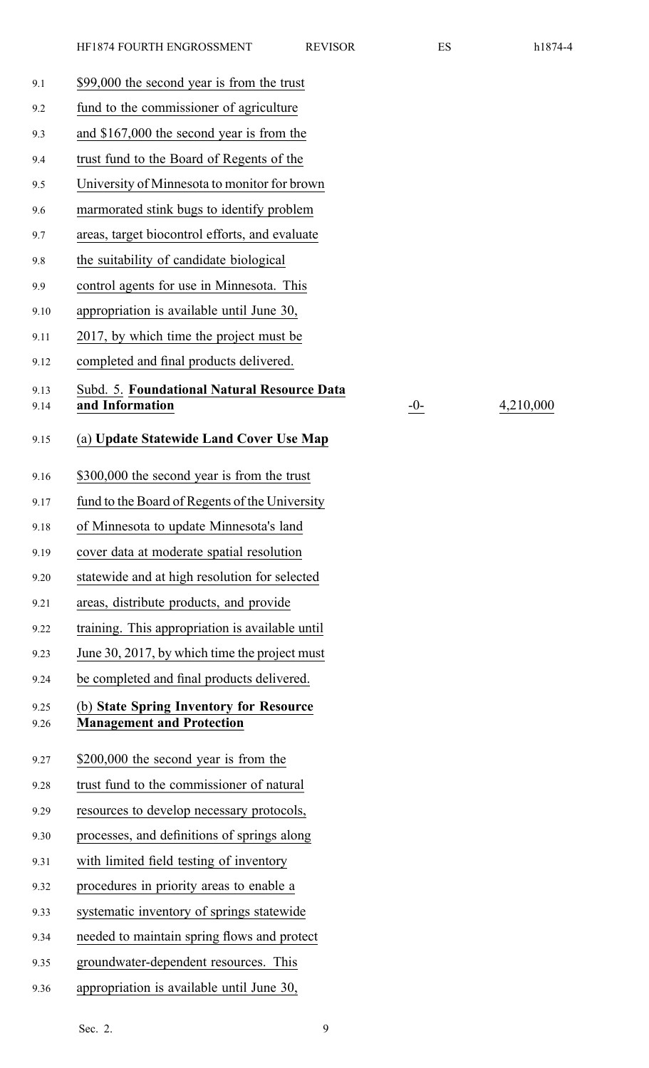| 9.1          | \$99,000 the second year is from the trust                                  |
|--------------|-----------------------------------------------------------------------------|
| 9.2          | fund to the commissioner of agriculture                                     |
| 9.3          | and \$167,000 the second year is from the                                   |
| 9.4          | trust fund to the Board of Regents of the                                   |
| 9.5          | University of Minnesota to monitor for brown                                |
| 9.6          | marmorated stink bugs to identify problem                                   |
| 9.7          | areas, target biocontrol efforts, and evaluate                              |
| 9.8          | the suitability of candidate biological                                     |
| 9.9          | control agents for use in Minnesota. This                                   |
| 9.10         | appropriation is available until June 30,                                   |
| 9.11         | 2017, by which time the project must be                                     |
| 9.12         | completed and final products delivered.                                     |
| 9.13         | Subd. 5. Foundational Natural Resource Data                                 |
| 9.14         | and Information                                                             |
| 9.15         | (a) Update Statewide Land Cover Use Map                                     |
| 9.16         | \$300,000 the second year is from the trust                                 |
| 9.17         | fund to the Board of Regents of the University                              |
| 9.18         | of Minnesota to update Minnesota's land                                     |
| 9.19         | cover data at moderate spatial resolution                                   |
| 9.20         | statewide and at high resolution for selected                               |
| 9.21         | areas, distribute products, and provide                                     |
| 9.22         | training. This appropriation is available until                             |
| 9.23         | June 30, 2017, by which time the project must                               |
| 9.24         | be completed and final products delivered.                                  |
| 9.25<br>9.26 | (b) State Spring Inventory for Resource<br><b>Management and Protection</b> |
| 9.27         | \$200,000 the second year is from the                                       |
| 9.28         | trust fund to the commissioner of natural                                   |
| 9.29         | resources to develop necessary protocols,                                   |
| 9.30         | processes, and definitions of springs along                                 |
| 9.31         | with limited field testing of inventory                                     |
| 9.32         | procedures in priority areas to enable a                                    |
| 9.33         | systematic inventory of springs statewide                                   |
| 9.34         | needed to maintain spring flows and protect                                 |
| 9.35         | groundwater-dependent resources. This                                       |

9.36 appropriation is available until June 30,

Sec. 2. 9

9.14 **and Information** -0- 4,210,000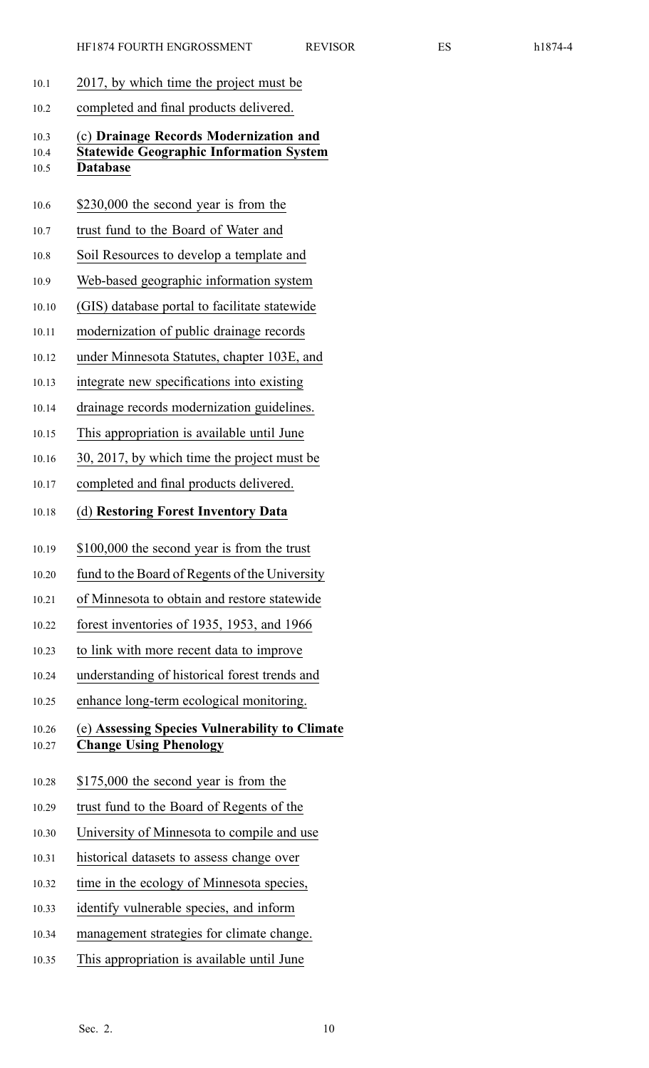- 10.1 2017, by which time the project must be
- 10.2 completed and final products delivered.

# 10.3 (c) **Drainage Records Modernization and** 10.4 **Statewide Geographic Information System** 10.5 **Database**

- 10.6 \$230,000 the second year is from the
- 10.7 trust fund to the Board of Water and
- 10.8 Soil Resources to develop <sup>a</sup> template and
- 10.9 Web-based geographic information system
- 10.10 (GIS) database portal to facilitate statewide
- 10.11 modernization of public drainage records
- 10.12 under Minnesota Statutes, chapter 103E, and
- 10.13 integrate new specifications into existing
- 10.14 drainage records modernization guidelines.
- 10.15 This appropriation is available until June
- 10.16 30, 2017, by which time the project must be
- 10.17 completed and final products delivered.
- 10.18 (d) **Restoring Forest Inventory Data**
- 10.19 \$100,000 the second year is from the trust
- 10.20 fund to the Board of Regents of the University
- 10.21 of Minnesota to obtain and restore statewide
- 10.22 forest inventories of 1935, 1953, and 1966
- 10.23 to link with more recent data to improve
- 10.24 understanding of historical forest trends and
- 10.25 enhance long-term ecological monitoring.

# 10.26 (e) **Assessing Species Vulnerability to Climate** 10.27 **Change Using Phenology**

- 10.28 \$175,000 the second year is from the
- 10.29 trust fund to the Board of Regents of the
- 10.30 University of Minnesota to compile and use
- 10.31 historical datasets to assess change over
- 10.32 time in the ecology of Minnesota species,
- 10.33 identify vulnerable species, and inform
- 10.34 managemen<sup>t</sup> strategies for climate change.
- 10.35 This appropriation is available until June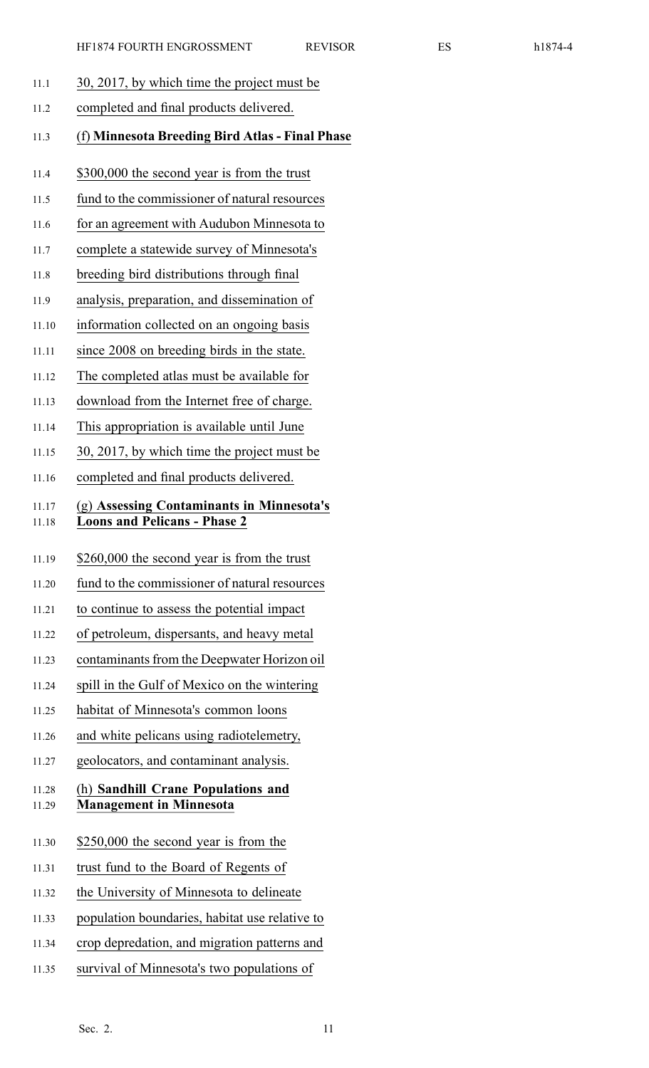- 11.1 30, 2017, by which time the project must be
- 11.2 completed and final products delivered.

# 11.3 (f) **Minnesota Breeding Bird Atlas - Final Phase**

- 11.4 \$300,000 the second year is from the trust
- 11.5 fund to the commissioner of natural resources
- 11.6 for an agreemen<sup>t</sup> with Audubon Minnesota to
- 11.7 complete <sup>a</sup> statewide survey of Minnesota's
- 11.8 breeding bird distributions through final
- 11.9 analysis, preparation, and dissemination of
- 11.10 information collected on an ongoing basis
- 11.11 since 2008 on breeding birds in the state.
- 11.12 The completed atlas must be available for
- 11.13 download from the Internet free of charge.
- 11.14 This appropriation is available until June
- 11.15 30, 2017, by which time the project must be
- 11.16 completed and final products delivered.

# 11.17 (g) **Assessing Contaminants in Minnesota's** 11.18 **Loons and Pelicans - Phase 2**

- 11.19 \$260,000 the second year is from the trust
- 11.20 fund to the commissioner of natural resources
- 11.21 to continue to assess the potential impact
- 11.22 of petroleum, dispersants, and heavy metal
- 11.23 contaminants from the Deepwater Horizon oil
- 11.24 spill in the Gulf of Mexico on the wintering
- 11.25 habitat of Minnesota's common loons
- 11.26 and white pelicans using radiotelemetry,
- 11.27 geolocators, and contaminant analysis.

#### 11.28 (h) **Sandhill Crane Populations and** 11.29 **Management in Minnesota**

- 11.30 \$250,000 the second year is from the
- 11.31 trust fund to the Board of Regents of
- 11.32 the University of Minnesota to delineate
- 11.33 population boundaries, habitat use relative to
- 11.34 crop depredation, and migration patterns and
- 11.35 survival of Minnesota's two populations of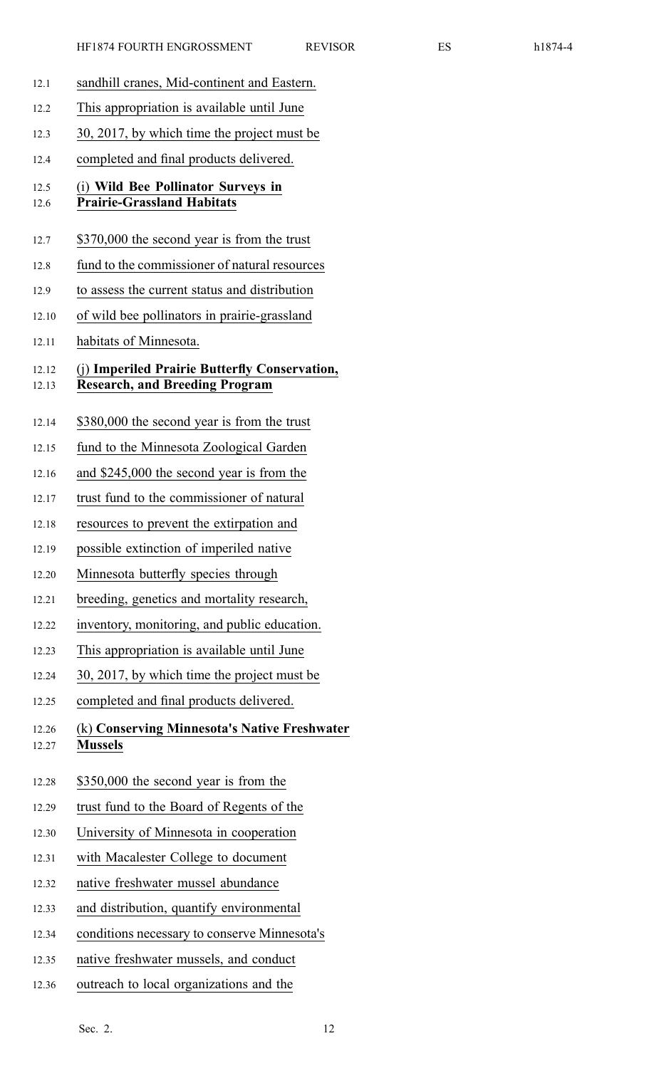| r<br>ш |  |
|--------|--|
|--------|--|

| 12.1           | sandhill cranes, Mid-continent and Eastern.                                            |
|----------------|----------------------------------------------------------------------------------------|
| 12.2           | This appropriation is available until June                                             |
| 12.3           | 30, 2017, by which time the project must be                                            |
| 12.4           | completed and final products delivered.                                                |
| 12.5<br>12.6   | (i) Wild Bee Pollinator Surveys in<br><b>Prairie-Grassland Habitats</b>                |
| 12.7           | \$370,000 the second year is from the trust                                            |
| 12.8           | fund to the commissioner of natural resources                                          |
| 12.9           | to assess the current status and distribution                                          |
| 12.10          | of wild bee pollinators in prairie-grassland                                           |
| 12.11          | habitats of Minnesota.                                                                 |
| 12.12<br>12.13 | (j) Imperiled Prairie Butterfly Conservation,<br><b>Research, and Breeding Program</b> |
| 12.14          | \$380,000 the second year is from the trust                                            |
| 12.15          | fund to the Minnesota Zoological Garden                                                |
| 12.16          | and \$245,000 the second year is from the                                              |
| 12.17          | trust fund to the commissioner of natural                                              |
| 12.18          | resources to prevent the extirpation and                                               |
| 12.19          | possible extinction of imperiled native                                                |
| 12.20          | Minnesota butterfly species through                                                    |
| 12.21          | breeding, genetics and mortality research,                                             |
| 12.22          | inventory, monitoring, and public education.                                           |
| 12.23          | This appropriation is available until June                                             |
| 12.24          | 30, 2017, by which time the project must be                                            |
| 12.25          | completed and final products delivered.                                                |
| 12.26<br>12.27 | (k) Conserving Minnesota's Native Freshwater<br><b>Mussels</b>                         |
| 12.28          | \$350,000 the second year is from the                                                  |
| 12.29          | trust fund to the Board of Regents of the                                              |
| 12.30          | University of Minnesota in cooperation                                                 |
| 12.31          | with Macalester College to document                                                    |
| 12.32          | native freshwater mussel abundance                                                     |
| 12.33          | and distribution, quantify environmental                                               |
| 12.34          | conditions necessary to conserve Minnesota's                                           |

- 12.35 native freshwater mussels, and conduct
- 12.36 outreach to local organizations and the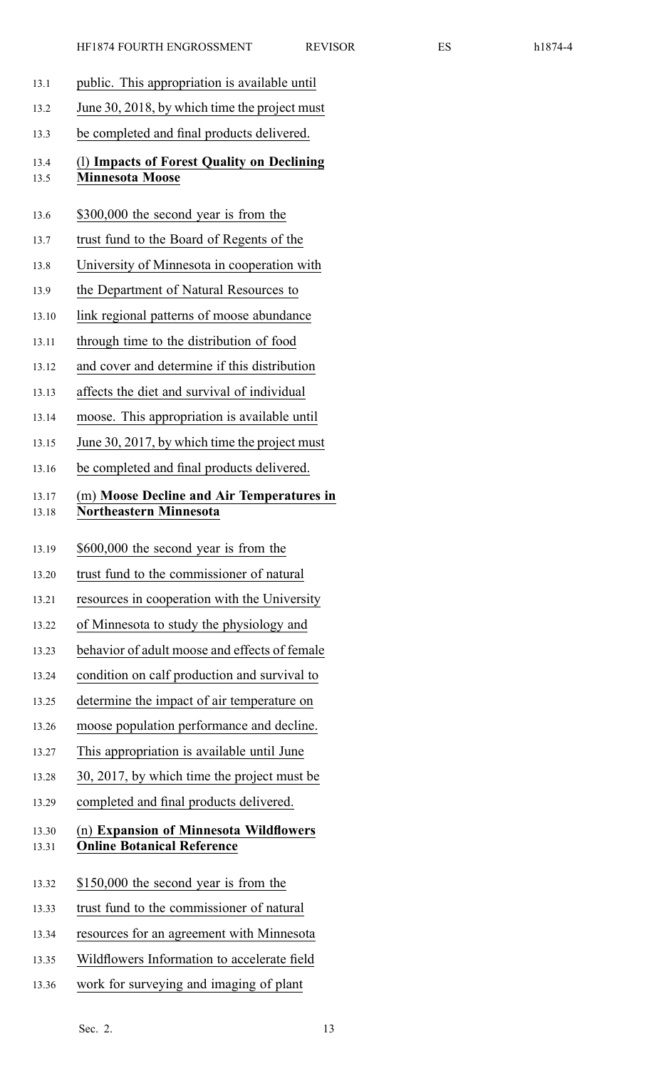- 13.1 public. This appropriation is available until 13.2 June 30, 2018, by which time the project must 13.3 be completed and final products delivered. 13.4 (l) **Impacts of Forest Quality on Declining** 13.5 **Minnesota Moose** 13.6 \$300,000 the second year is from the 13.7 trust fund to the Board of Regents of the 13.8 University of Minnesota in cooperation with 13.9 the Department of Natural Resources to 13.10 link regional patterns of moose abundance 13.11 through time to the distribution of food 13.12 and cover and determine if this distribution 13.13 affects the diet and survival of individual 13.14 moose. This appropriation is available until 13.15 June 30, 2017, by which time the project must 13.16 be completed and final products delivered. 13.17 (m) **Moose Decline and Air Temperatures in** 13.18 **Northeastern Minnesota** 13.19 \$600,000 the second year is from the 13.20 trust fund to the commissioner of natural 13.21 resources in cooperation with the University 13.22 of Minnesota to study the physiology and 13.23 behavior of adult moose and effects of female 13.24 condition on calf production and survival to 13.25 determine the impact of air temperature on 13.26 moose population performance and decline. 13.27 This appropriation is available until June 13.28 30, 2017, by which time the project must be 13.29 completed and final products delivered. 13.30 (n) **Expansion of Minnesota Wildflowers** 13.31 **Online Botanical Reference**
- 13.32 \$150,000 the second year is from the
- 13.33 trust fund to the commissioner of natural
- 13.34 resources for an agreemen<sup>t</sup> with Minnesota
- 13.35 Wildflowers Information to accelerate field
- 13.36 work for surveying and imaging of plant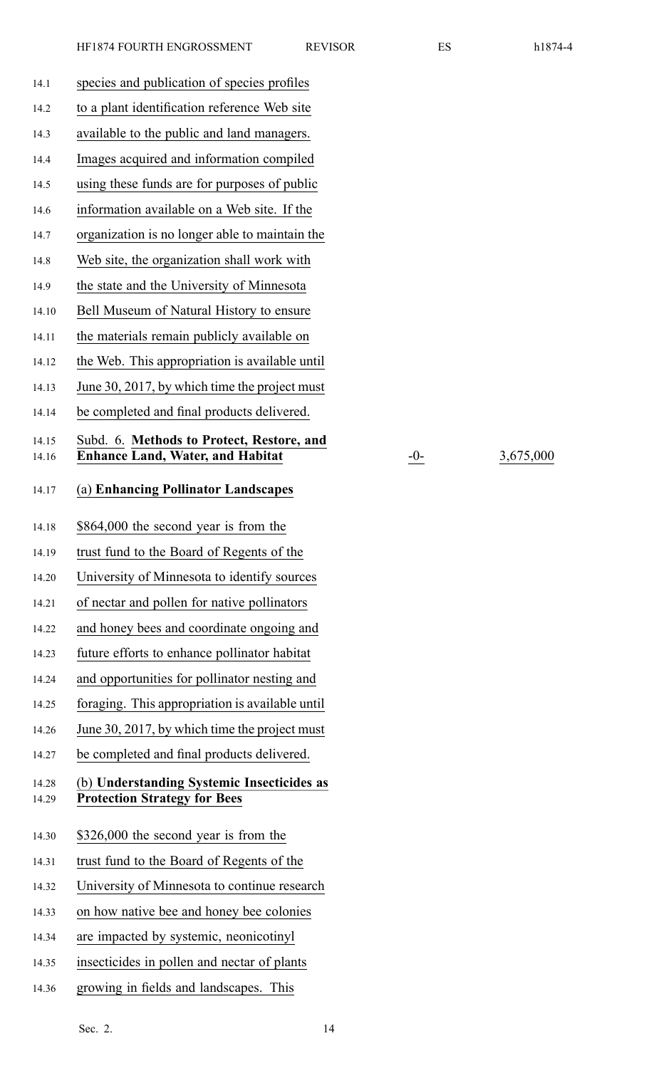| X<br>าไ<br>$\prime$ |  |
|---------------------|--|
|---------------------|--|

14.16 **Enhance Land, Water, and Habitat** -0- 3,675,000

| 14.1           | species and publication of species profiles                                       |
|----------------|-----------------------------------------------------------------------------------|
| 14.2           | to a plant identification reference Web site                                      |
| 14.3           | available to the public and land managers.                                        |
| 14.4           | Images acquired and information compiled                                          |
| 14.5           | using these funds are for purposes of public                                      |
| 14.6           | information available on a Web site. If the                                       |
| 14.7           | organization is no longer able to maintain the                                    |
| 14.8           | Web site, the organization shall work with                                        |
| 14.9           | the state and the University of Minnesota                                         |
| 14.10          | Bell Museum of Natural History to ensure                                          |
| 14.11          | the materials remain publicly available on                                        |
| 14.12          | the Web. This appropriation is available until                                    |
| 14.13          | June 30, 2017, by which time the project must                                     |
| 14.14          | be completed and final products delivered.                                        |
| 14.15          | Subd. 6. Methods to Protect, Restore, and                                         |
| 14.16          | <b>Enhance Land, Water, and Habitat</b>                                           |
| 14.17          | (a) Enhancing Pollinator Landscapes                                               |
| 14.18          | \$864,000 the second year is from the                                             |
| 14.19          | trust fund to the Board of Regents of the                                         |
| 14.20          | University of Minnesota to identify sources                                       |
| 14.21          | of nectar and pollen for native pollinators                                       |
| 14.22          | and honey bees and coordinate ongoing and                                         |
| 14.23          | future efforts to enhance pollinator habitat                                      |
| 14.24          | and opportunities for pollinator nesting and                                      |
| 14.25          | foraging. This appropriation is available until                                   |
| 14.26          | June 30, 2017, by which time the project must                                     |
| 14.27          | be completed and final products delivered.                                        |
| 14.28<br>14.29 | (b) Understanding Systemic Insecticides as<br><b>Protection Strategy for Bees</b> |
| 14.30          | \$326,000 the second year is from the                                             |
| 14.31          | trust fund to the Board of Regents of the                                         |
| 14.32          | University of Minnesota to continue research                                      |
| 14.33          | on how native bee and honey bee colonies                                          |
|                |                                                                                   |
| 14.34          | are impacted by systemic, neonicotinyl                                            |
| 14.35          | insecticides in pollen and nectar of plants                                       |
| 14.36          | growing in fields and landscapes. This                                            |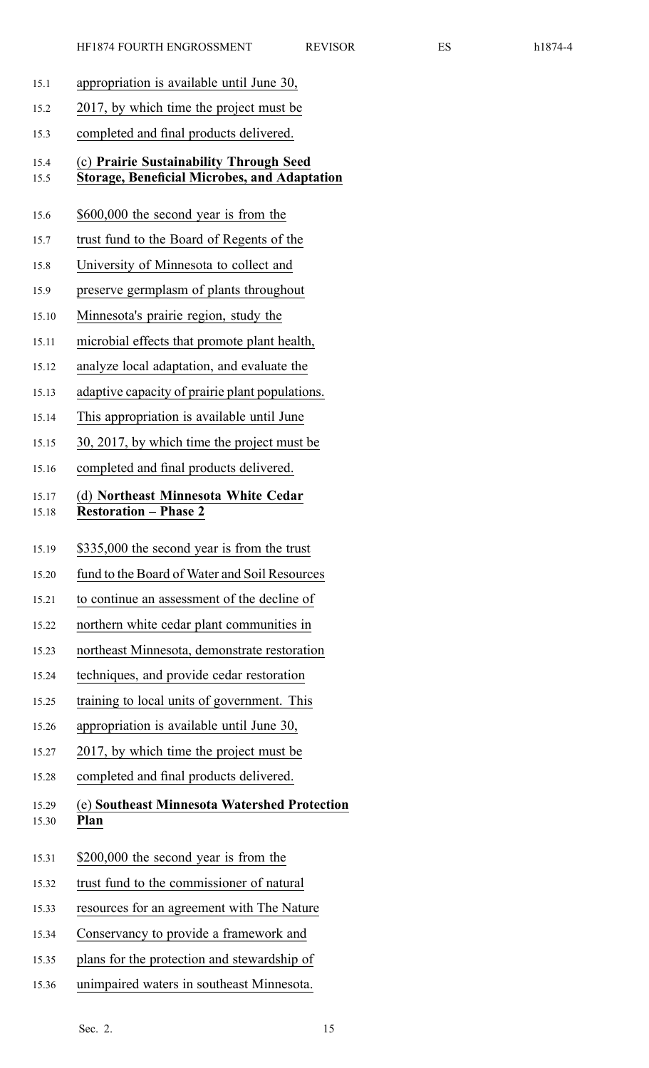- 15.1 appropriation is available until June 30,
- 15.2 2017, by which time the project must be
- 15.3 completed and final products delivered.

### 15.4 (c) **Prairie Sustainability Through Seed** 15.5 **Storage, Beneficial Microbes, and Adaptation**

- 15.6 \$600,000 the second year is from the
- 15.7 trust fund to the Board of Regents of the
- 15.8 University of Minnesota to collect and
- 15.9 preserve germplasm of plants throughout
- 15.10 Minnesota's prairie region, study the
- 15.11 microbial effects that promote plant health,
- 15.12 analyze local adaptation, and evaluate the
- 15.13 adaptive capacity of prairie plant populations.
- 15.14 This appropriation is available until June
- 15.15 30, 2017, by which time the project must be
- 15.16 completed and final products delivered.

# 15.17 (d) **Northeast Minnesota White Cedar** 15.18 **Restoration – Phase 2**

- 15.19 \$335,000 the second year is from the trust
- 15.20 fund to the Board of Water and Soil Resources
- 15.21 to continue an assessment of the decline of
- 15.22 northern white cedar plant communities in
- 15.23 northeast Minnesota, demonstrate restoration
- 15.24 techniques, and provide cedar restoration
- 15.25 training to local units of government. This
- 15.26 appropriation is available until June 30,
- 15.27 2017, by which time the project must be
- 15.28 completed and final products delivered.
- 15.29 (e) **Southeast Minnesota Watershed Protection** 15.30 **Plan**
- 15.31 \$200,000 the second year is from the
- 15.32 trust fund to the commissioner of natural
- 15.33 resources for an agreemen<sup>t</sup> with The Nature
- 15.34 Conservancy to provide <sup>a</sup> framework and
- 15.35 plans for the protection and stewardship of
- 15.36 unimpaired waters in southeast Minnesota.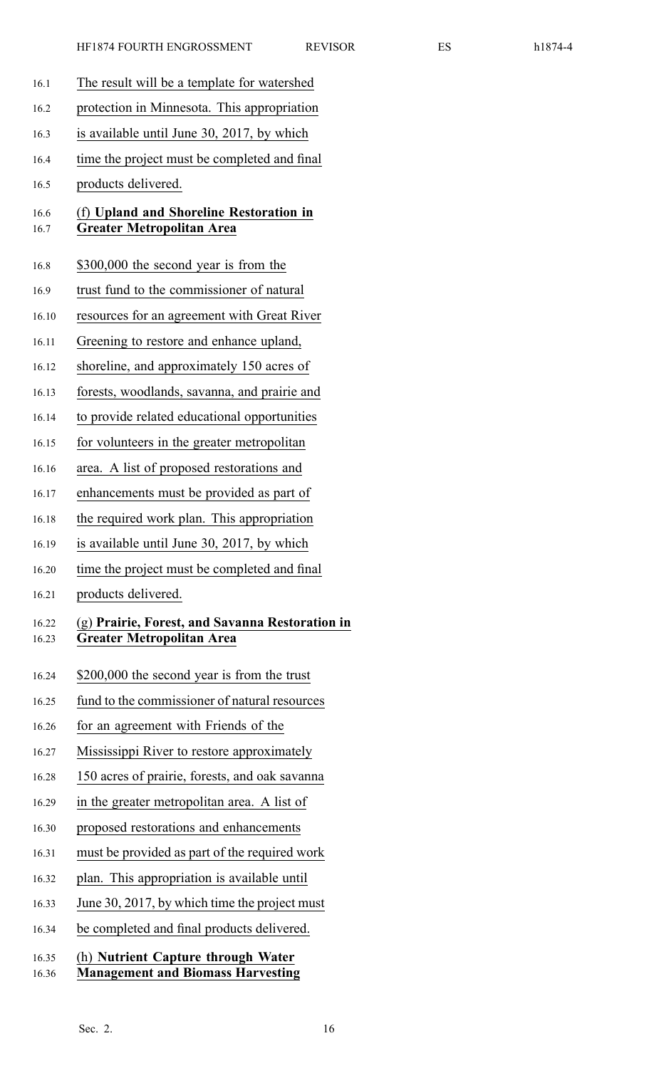| 16.1           | The result will be a template for watershed                                         |
|----------------|-------------------------------------------------------------------------------------|
| 16.2           | protection in Minnesota. This appropriation                                         |
| 16.3           | is available until June 30, 2017, by which                                          |
| 16.4           | time the project must be completed and final                                        |
| 16.5           | products delivered.                                                                 |
| 16.6<br>16.7   | (f) Upland and Shoreline Restoration in<br><b>Greater Metropolitan Area</b>         |
| 16.8           | \$300,000 the second year is from the                                               |
| 16.9           | trust fund to the commissioner of natural                                           |
| 16.10          | resources for an agreement with Great River                                         |
| 16.11          | Greening to restore and enhance upland,                                             |
| 16.12          | shoreline, and approximately 150 acres of                                           |
| 16.13          | forests, woodlands, savanna, and prairie and                                        |
| 16.14          | to provide related educational opportunities                                        |
| 16.15          | for volunteers in the greater metropolitan                                          |
| 16.16          | area. A list of proposed restorations and                                           |
| 16.17          | enhancements must be provided as part of                                            |
| 16.18          | the required work plan. This appropriation                                          |
| 16.19          | is available until June 30, 2017, by which                                          |
| 16.20          | time the project must be completed and final                                        |
| 16.21          | products delivered.                                                                 |
| 16.22<br>16.23 | (g) Prairie, Forest, and Savanna Restoration in<br><b>Greater Metropolitan Area</b> |
| 16.24          | \$200,000 the second year is from the trust                                         |
| 16.25          | fund to the commissioner of natural resources                                       |
| 16.26          | for an agreement with Friends of the                                                |
| 16.27          | Mississippi River to restore approximately                                          |
| 16.28          | 150 acres of prairie, forests, and oak savanna                                      |
| 16.29          | in the greater metropolitan area. A list of                                         |
| 16.30          | proposed restorations and enhancements                                              |
| 16.31          | must be provided as part of the required work                                       |
| 16.32          | plan. This appropriation is available until                                         |
| 16.33          | June 30, 2017, by which time the project must                                       |
| 16.34          | be completed and final products delivered.                                          |
| 16.35<br>16.36 | (h) Nutrient Capture through Water<br><b>Management and Biomass Harvesting</b>      |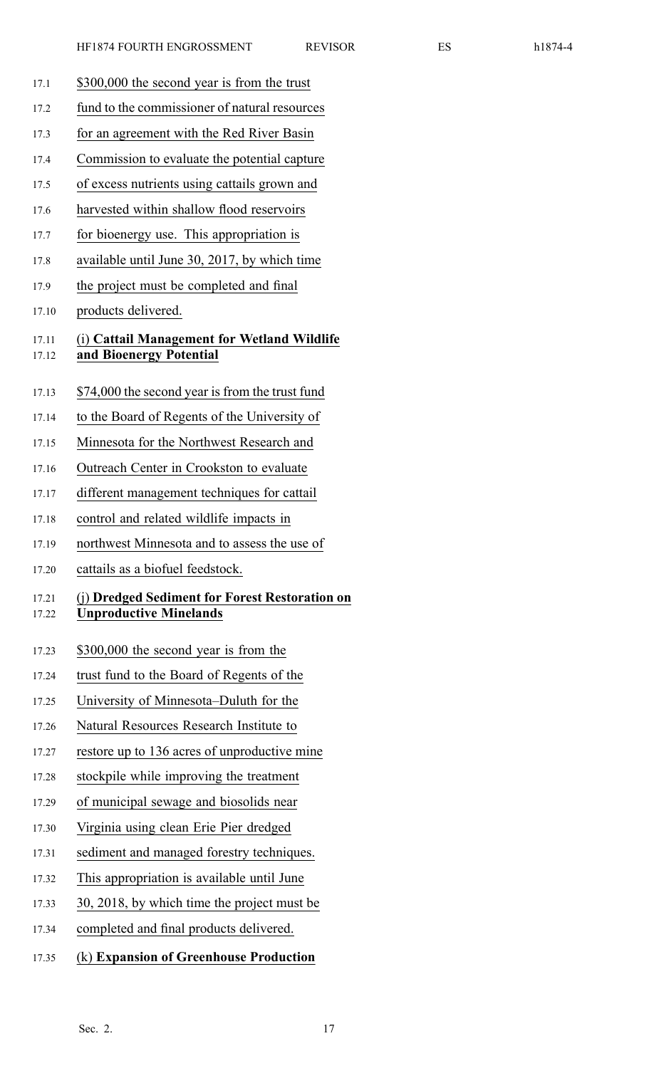- 17.1 \$300,000 the second year is from the trust
- 17.2 fund to the commissioner of natural resources
- 17.3 for an agreemen<sup>t</sup> with the Red River Basin
- 17.4 Commission to evaluate the potential capture
- 17.5 of excess nutrients using cattails grown and
- 17.6 harvested within shallow flood reservoirs
- 17.7 for bioenergy use. This appropriation is
- 17.8 available until June 30, 2017, by which time
- 17.9 the project must be completed and final
- 17.10 products delivered.

### 17.11 (i) **Cattail Management for Wetland Wildlife** 17.12 **and Bioenergy Potential**

- 17.13 \$74,000 the second year is from the trust fund
- 17.14 to the Board of Regents of the University of
- 17.15 Minnesota for the Northwest Research and
- 17.16 Outreach Center in Crookston to evaluate
- 17.17 different managemen<sup>t</sup> techniques for cattail
- 17.18 control and related wildlife impacts in
- 17.19 northwest Minnesota and to assess the use of
- 17.20 cattails as <sup>a</sup> biofuel feedstock.

### 17.21 (j) **Dredged Sediment for Forest Restoration on** 17.22 **Unproductive Minelands**

- 17.23 \$300,000 the second year is from the
- 17.24 trust fund to the Board of Regents of the
- 17.25 University of Minnesota–Duluth for the
- 17.26 Natural Resources Research Institute to
- 17.27 restore up to 136 acres of unproductive mine
- 17.28 stockpile while improving the treatment
- 17.29 of municipal sewage and biosolids near
- 17.30 Virginia using clean Erie Pier dredged
- 17.31 sediment and managed forestry techniques.
- 17.32 This appropriation is available until June
- 17.33 30, 2018, by which time the project must be
- 17.34 completed and final products delivered.
- 17.35 (k) **Expansion of Greenhouse Production**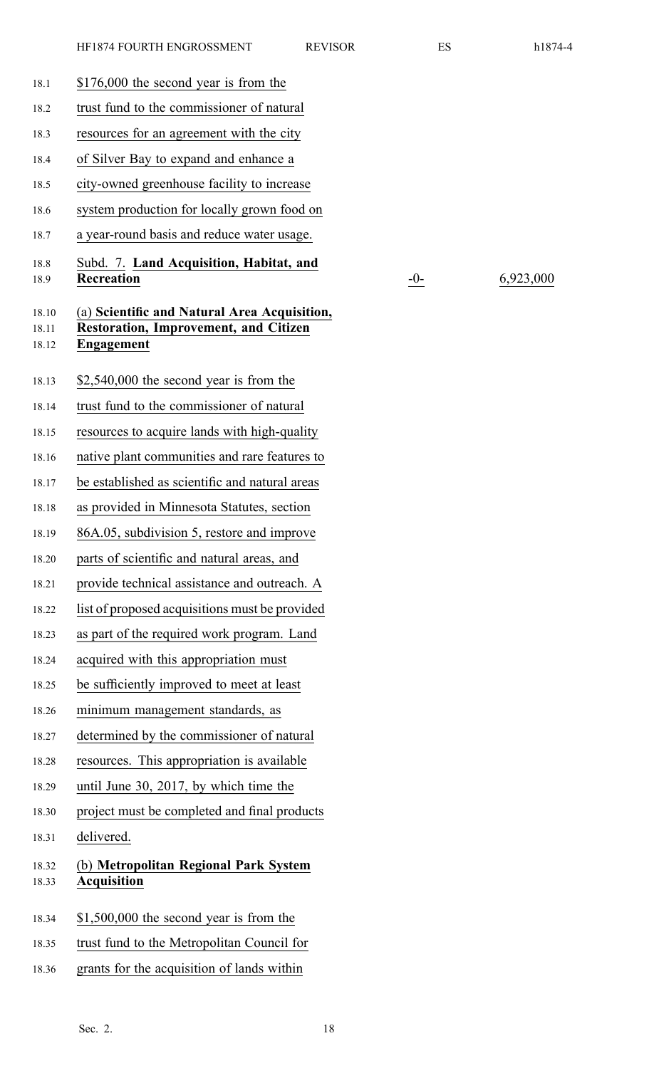| 18.1                    | $$176,000$ the second year is from the                                                                     |
|-------------------------|------------------------------------------------------------------------------------------------------------|
| 18.2                    | trust fund to the commissioner of natural                                                                  |
| 18.3                    | resources for an agreement with the city                                                                   |
| 18.4                    | of Silver Bay to expand and enhance a                                                                      |
| 18.5                    | city-owned greenhouse facility to increase                                                                 |
| 18.6                    | system production for locally grown food on                                                                |
| 18.7                    | a year-round basis and reduce water usage.                                                                 |
| 18.8<br>18.9            | Subd. 7. Land Acquisition, Habitat, and<br><b>Recreation</b>                                               |
| 18.10<br>18.11<br>18.12 | (a) Scientific and Natural Area Acquisition,<br><b>Restoration, Improvement, and Citizen</b><br>Engagement |
| 18.13                   | $$2,540,000$ the second year is from the                                                                   |
| 18.14                   | trust fund to the commissioner of natural                                                                  |
| 18.15                   | resources to acquire lands with high-quality                                                               |
| 18.16                   | native plant communities and rare features to                                                              |
| 18.17                   | be established as scientific and natural areas                                                             |
| 18.18                   | as provided in Minnesota Statutes, section                                                                 |
| 18.19                   | 86A.05, subdivision 5, restore and improve                                                                 |
| 18.20                   | parts of scientific and natural areas, and                                                                 |
| 18.21                   | provide technical assistance and outreach. A                                                               |
| 18.22                   | list of proposed acquisitions must be provided                                                             |
| 18.23                   | as part of the required work program. Land                                                                 |
| 18.24                   | acquired with this appropriation must                                                                      |
| 18.25                   | be sufficiently improved to meet at least                                                                  |
| 18.26                   | minimum management standards, as                                                                           |
| 18.27                   | determined by the commissioner of natural                                                                  |
| 18.28                   | resources. This appropriation is available                                                                 |
| 18.29                   | until June 30, 2017, by which time the                                                                     |
| 18.30                   | project must be completed and final products                                                               |
| 18.31                   | delivered.                                                                                                 |
| 18.32<br>18.33          | (b) Metropolitan Regional Park System<br><b>Acquisition</b>                                                |
| 18.34                   | $$1,500,000$ the second year is from the                                                                   |
| 18.35                   | trust fund to the Metropolitan Council for                                                                 |

10<sup>-</sup> 6,923,000

<sup>18.36</sup> grants for the acquisition of lands within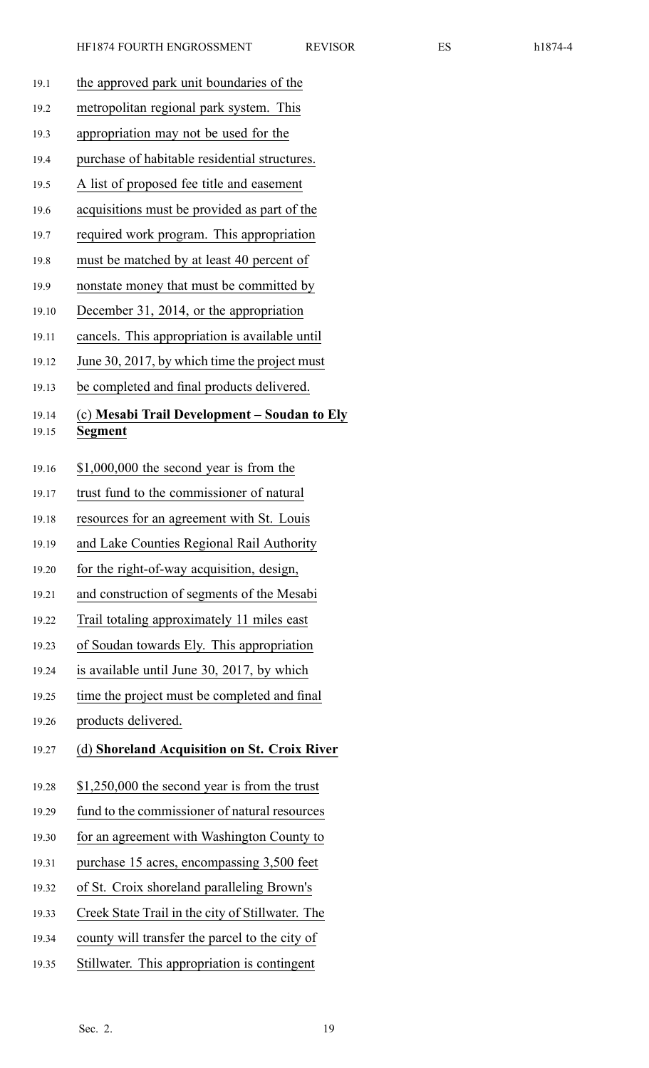|--|--|--|

| 19.1           | the approved park unit boundaries of the                |
|----------------|---------------------------------------------------------|
| 19.2           | metropolitan regional park system. This                 |
| 19.3           | appropriation may not be used for the                   |
| 19.4           | purchase of habitable residential structures.           |
| 19.5           | A list of proposed fee title and easement               |
| 19.6           | acquisitions must be provided as part of the            |
| 19.7           | required work program. This appropriation               |
| 19.8           | must be matched by at least 40 percent of               |
| 19.9           | nonstate money that must be committed by                |
| 19.10          | December 31, 2014, or the appropriation                 |
| 19.11          | cancels. This appropriation is available until          |
| 19.12          | June 30, 2017, by which time the project must           |
| 19.13          | be completed and final products delivered.              |
| 19.14<br>19.15 | (c) Mesabi Trail Development – Soudan to Ely<br>Segment |
| 19.16          | $$1,000,000$ the second year is from the                |
| 19.17          | trust fund to the commissioner of natural               |
| 19.18          | resources for an agreement with St. Louis               |
| 19.19          | and Lake Counties Regional Rail Authority               |
| 19.20          | for the right-of-way acquisition, design,               |
| 19.21          | and construction of segments of the Mesabi              |
| 19.22          | Trail totaling approximately 11 miles east              |
| 19.23          | of Soudan towards Ely. This appropriation               |
| 19.24          | is available until June 30, 2017, by which              |
| 19.25          | time the project must be completed and final            |
| 19.26          | products delivered.                                     |
| 19.27          | (d) Shoreland Acquisition on St. Croix River            |
| 19.28          | $$1,250,000$ the second year is from the trust          |
| 19.29          | fund to the commissioner of natural resources           |
| 19.30          | for an agreement with Washington County to              |
| 19.31          | purchase 15 acres, encompassing 3,500 feet              |
| 19.32          | of St. Croix shoreland paralleling Brown's              |
| 19.33          | Creek State Trail in the city of Stillwater. The        |
| 19.34          | county will transfer the parcel to the city of          |
| 19.35          | Stillwater. This appropriation is contingent            |
|                |                                                         |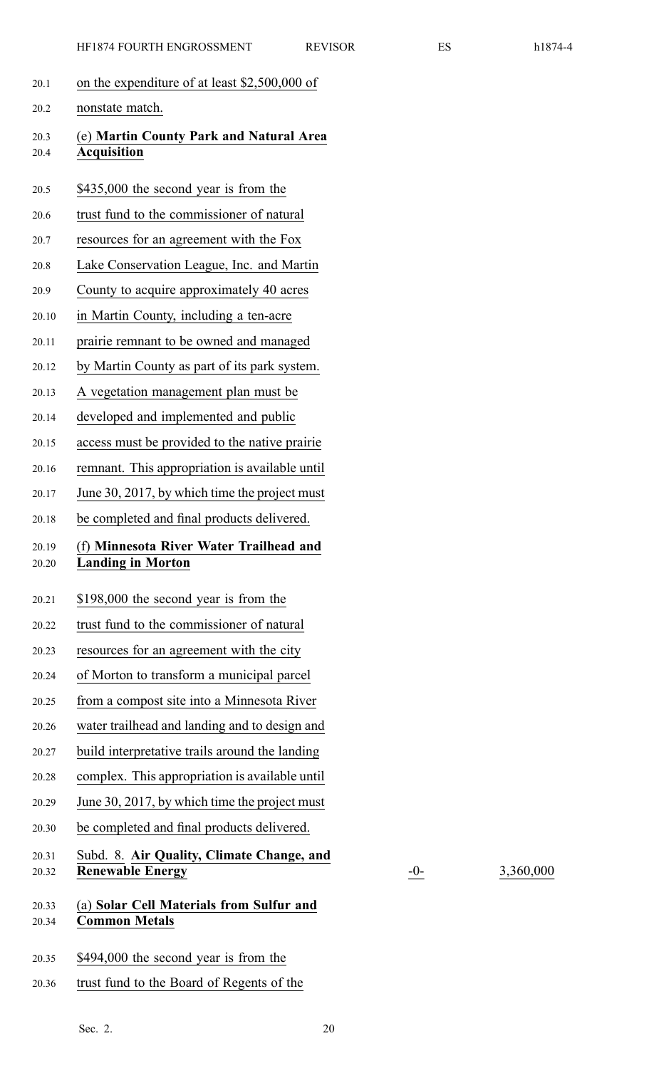- 20.1 on the expenditure of at least \$2,500,000 of 20.2 nonstate match. 20.3 (e) **Martin County Park and Natural Area** 20.4 **Acquisition** 20.5 \$435,000 the second year is from the 20.6 trust fund to the commissioner of natural 20.7 resources for an agreemen<sup>t</sup> with the Fox 20.8 Lake Conservation League, Inc. and Martin 20.9 County to acquire approximately 40 acres 20.10 in Martin County, including <sup>a</sup> ten-acre 20.11 prairie remnant to be owned and managed 20.12 by Martin County as par<sup>t</sup> of its park system. 20.13 A vegetation managemen<sup>t</sup> plan must be 20.14 developed and implemented and public 20.15 access must be provided to the native prairie 20.16 remnant. This appropriation is available until 20.17 June 30, 2017, by which time the project must 20.18 be completed and final products delivered. 20.19 (f) **Minnesota River Water Trailhead and** 20.20 **Landing in Morton** 20.21 \$198,000 the second year is from the 20.22 trust fund to the commissioner of natural 20.23 resources for an agreemen<sup>t</sup> with the city 20.24 of Morton to transform <sup>a</sup> municipal parcel 20.25 from <sup>a</sup> compos<sup>t</sup> site into <sup>a</sup> Minnesota River 20.26 water trailhead and landing and to design and 20.27 build interpretative trails around the landing 20.28 complex. This appropriation is available until 20.29 June 30, 2017, by which time the project must 20.30 be completed and final products delivered. 20.31 Subd. 8. **Air Quality, Climate Change, and** 20.32 **Renewable Energy** -0- 3,360,000 20.33 (a) **Solar Cell Materials from Sulfur and** 20.34 **Common Metals** 20.35 \$494,000 the second year is from the
- 20.36 trust fund to the Board of Regents of the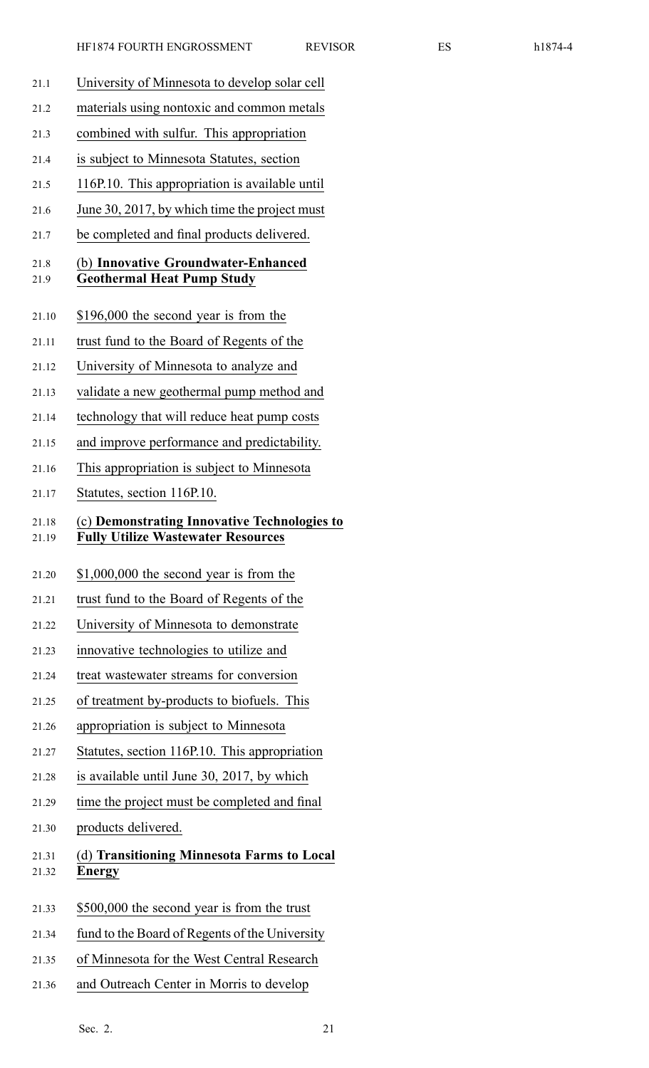- 21.1 University of Minnesota to develop solar cell 21.2 materials using nontoxic and common metals 21.3 combined with sulfur. This appropriation 21.4 is subject to Minnesota Statutes, section 21.5 116P.10. This appropriation is available until 21.6 June 30, 2017, by which time the project must 21.7 be completed and final products delivered. 21.8 (b) **Innovative Groundwater-Enhanced** 21.9 **Geothermal Heat Pump Study** 21.10 \$196,000 the second year is from the 21.11 trust fund to the Board of Regents of the 21.12 University of Minnesota to analyze and 21.13 validate <sup>a</sup> new geothermal pump method and 21.14 technology that will reduce heat pump costs 21.15 and improve performance and predictability. 21.16 This appropriation is subject to Minnesota 21.17 Statutes, section 116P.10. 21.18 (c) **Demonstrating Innovative Technologies to** 21.19 **Fully Utilize Wastewater Resources** 21.20 \$1,000,000 the second year is from the 21.21 trust fund to the Board of Regents of the 21.22 University of Minnesota to demonstrate 21.23 innovative technologies to utilize and 21.24 treat wastewater streams for conversion 21.25 of treatment by-products to biofuels. This 21.26 appropriation is subject to Minnesota 21.27 Statutes, section 116P.10. This appropriation
	-
	- 21.28 is available until June 30, 2017, by which
	- 21.29 time the project must be completed and final
	- 21.30 products delivered.

# 21.31 (d) **Transitioning Minnesota Farms to Local** 21.32 **Energy**

- 21.33 \$500,000 the second year is from the trust
- 21.34 fund to the Board of Regents of the University
- 21.35 of Minnesota for the West Central Research
- 21.36 and Outreach Center in Morris to develop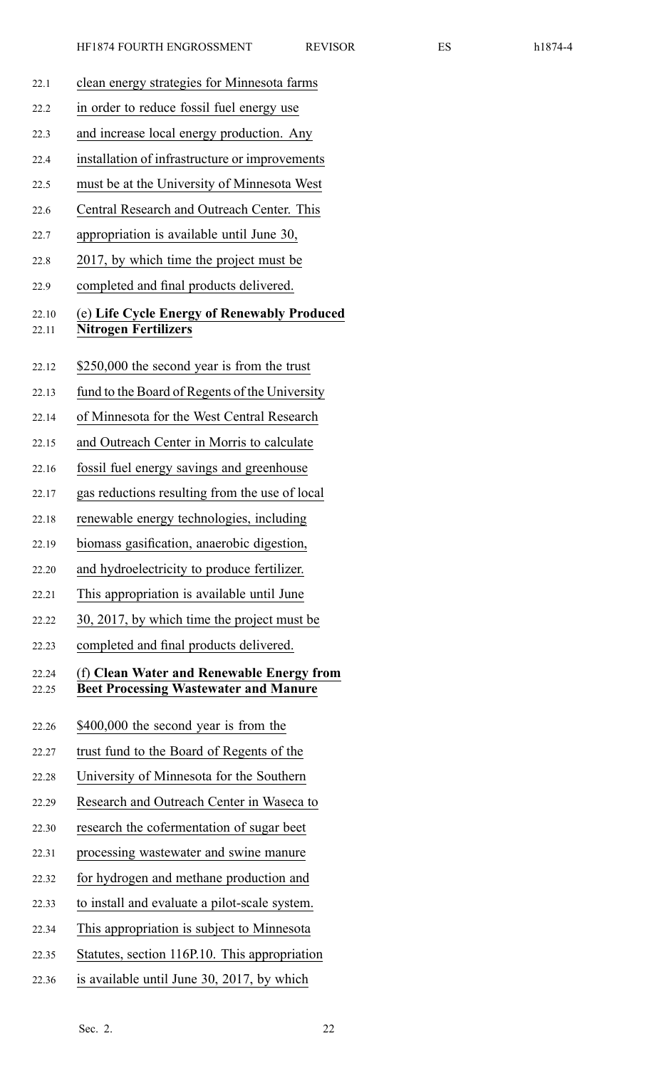| 22.1           | clean energy strategies for Minnesota farms                                               |
|----------------|-------------------------------------------------------------------------------------------|
| 22.2           | in order to reduce fossil fuel energy use                                                 |
| 22.3           | and increase local energy production. Any                                                 |
| 22.4           | installation of infrastructure or improvements                                            |
| 22.5           | must be at the University of Minnesota West                                               |
| 22.6           | Central Research and Outreach Center. This                                                |
| 22.7           | appropriation is available until June 30,                                                 |
| 22.8           | 2017, by which time the project must be                                                   |
| 22.9           | completed and final products delivered.                                                   |
| 22.10<br>22.11 | (e) Life Cycle Energy of Renewably Produced<br><b>Nitrogen Fertilizers</b>                |
| 22.12          | \$250,000 the second year is from the trust                                               |
| 22.13          | fund to the Board of Regents of the University                                            |
| 22.14          | of Minnesota for the West Central Research                                                |
| 22.15          | and Outreach Center in Morris to calculate                                                |
| 22.16          | fossil fuel energy savings and greenhouse                                                 |
| 22.17          | gas reductions resulting from the use of local                                            |
| 22.18          | renewable energy technologies, including                                                  |
| 22.19          | biomass gasification, anaerobic digestion,                                                |
| 22.20          | and hydroelectricity to produce fertilizer.                                               |
| 22.21          | This appropriation is available until June                                                |
| 22.22          | 30, 2017, by which time the project must be                                               |
| 22.23          | completed and final products delivered.                                                   |
| 22.24<br>22.25 | (f) Clean Water and Renewable Energy from<br><b>Beet Processing Wastewater and Manure</b> |
| 22.26          | \$400,000 the second year is from the                                                     |
| 22.27          | trust fund to the Board of Regents of the                                                 |
| 22.28          | University of Minnesota for the Southern                                                  |
| 22.29          | Research and Outreach Center in Waseca to                                                 |
| 22.30          | research the cofermentation of sugar beet                                                 |
| 22.31          | processing wastewater and swine manure                                                    |
| 22.32          | for hydrogen and methane production and                                                   |
| 22.33          | to install and evaluate a pilot-scale system.                                             |
| 22.34          | This appropriation is subject to Minnesota                                                |
| 22.35          | Statutes, section 116P.10. This appropriation                                             |
| 22.36          | is available until June 30, 2017, by which                                                |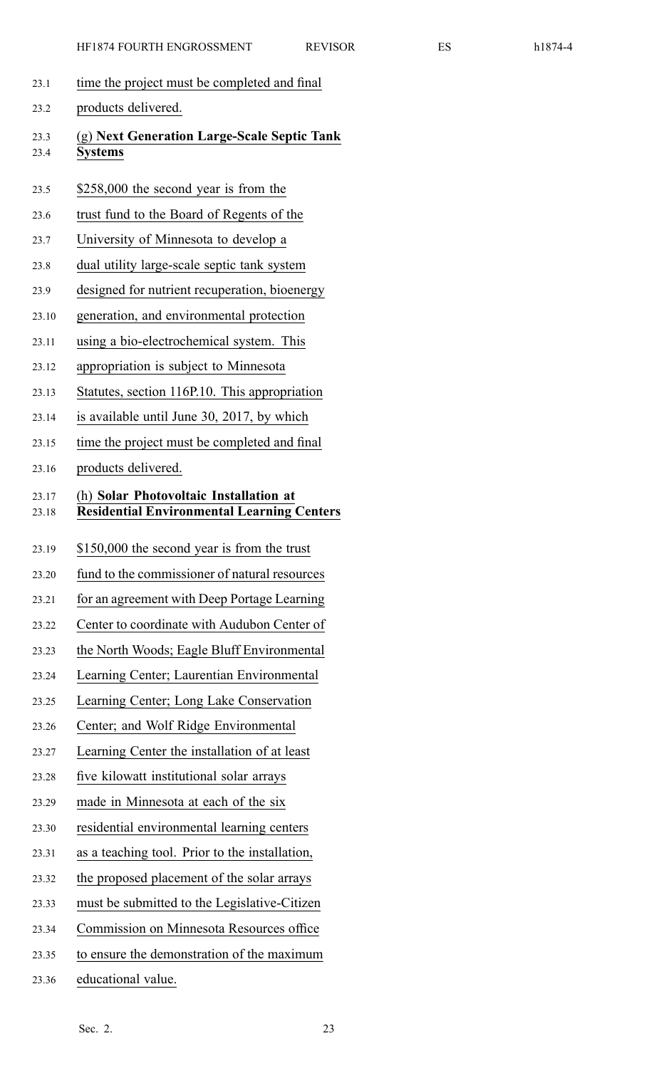- 23.1 time the project must be completed and final
- 23.2 products delivered.
- 23.3 (g) **Next Generation Large-Scale Septic Tank** 23.4 **Systems**
- 23.5 \$258,000 the second year is from the
- 23.6 trust fund to the Board of Regents of the
- 23.7 University of Minnesota to develop <sup>a</sup>
- 23.8 dual utility large-scale septic tank system
- 23.9 designed for nutrient recuperation, bioenergy
- 23.10 generation, and environmental protection
- 23.11 using <sup>a</sup> bio-electrochemical system. This
- 23.12 appropriation is subject to Minnesota
- 23.13 Statutes, section 116P.10. This appropriation
- 23.14 is available until June 30, 2017, by which
- 23.15 time the project must be completed and final
- 23.16 products delivered.

# 23.17 (h) **Solar Photovoltaic Installation at** 23.18 **Residential Environmental Learning Centers**

- 23.19 \$150,000 the second year is from the trust
- 23.20 fund to the commissioner of natural resources
- 23.21 for an agreemen<sup>t</sup> with Deep Portage Learning
- 23.22 Center to coordinate with Audubon Center of
- 23.23 the North Woods; Eagle Bluff Environmental
- 23.24 Learning Center; Laurentian Environmental
- 23.25 Learning Center; Long Lake Conservation
- 23.26 Center; and Wolf Ridge Environmental
- 23.27 Learning Center the installation of at least
- 23.28 five kilowatt institutional solar arrays
- 23.29 made in Minnesota at each of the six
- 23.30 residential environmental learning centers
- 23.31 as <sup>a</sup> teaching tool. Prior to the installation,
- 23.32 the proposed placement of the solar arrays
- 23.33 must be submitted to the Legislative-Citizen
- 23.34 Commission on Minnesota Resources office
- 23.35 to ensure the demonstration of the maximum
- 23.36 educational value.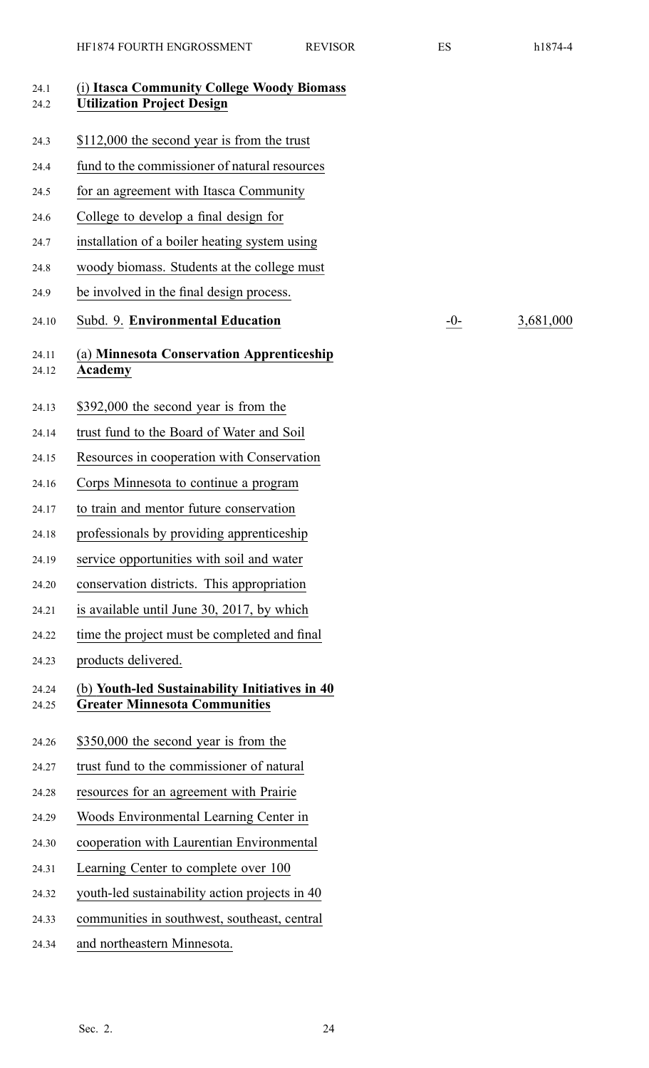| 24.1<br>24.2   | (i) Itasca Community College Woody Biomass<br><b>Utilization Project Design</b>        |      |           |
|----------------|----------------------------------------------------------------------------------------|------|-----------|
| 24.3           | \$112,000 the second year is from the trust                                            |      |           |
| 24.4           | fund to the commissioner of natural resources                                          |      |           |
| 24.5           | for an agreement with Itasca Community                                                 |      |           |
| 24.6           | College to develop a final design for                                                  |      |           |
| 24.7           | installation of a boiler heating system using                                          |      |           |
| 24.8           | woody biomass. Students at the college must                                            |      |           |
| 24.9           | be involved in the final design process.                                               |      |           |
| 24.10          | Subd. 9. Environmental Education                                                       | $-0$ | 3,681,000 |
| 24.11<br>24.12 | (a) Minnesota Conservation Apprenticeship<br><b>Academy</b>                            |      |           |
| 24.13          | \$392,000 the second year is from the                                                  |      |           |
| 24.14          | trust fund to the Board of Water and Soil                                              |      |           |
| 24.15          | Resources in cooperation with Conservation                                             |      |           |
| 24.16          | Corps Minnesota to continue a program                                                  |      |           |
| 24.17          | to train and mentor future conservation                                                |      |           |
| 24.18          | professionals by providing apprenticeship                                              |      |           |
| 24.19          | service opportunities with soil and water                                              |      |           |
| 24.20          | conservation districts. This appropriation                                             |      |           |
| 24.21          | is available until June 30, 2017, by which                                             |      |           |
| 24.22          | time the project must be completed and final                                           |      |           |
| 24.23          | products delivered.                                                                    |      |           |
| 24.24<br>24.25 | (b) Youth-led Sustainability Initiatives in 40<br><b>Greater Minnesota Communities</b> |      |           |
| 24.26          | \$350,000 the second year is from the                                                  |      |           |
| 24.27          | trust fund to the commissioner of natural                                              |      |           |
| 24.28          | resources for an agreement with Prairie                                                |      |           |
| 24.29          | Woods Environmental Learning Center in                                                 |      |           |
| 24.30          | cooperation with Laurentian Environmental                                              |      |           |
| 24.31          | Learning Center to complete over 100                                                   |      |           |
| 24.32          | youth-led sustainability action projects in 40                                         |      |           |
| 24.33          | communities in southwest, southeast, central                                           |      |           |
| 24.34          | and northeastern Minnesota.                                                            |      |           |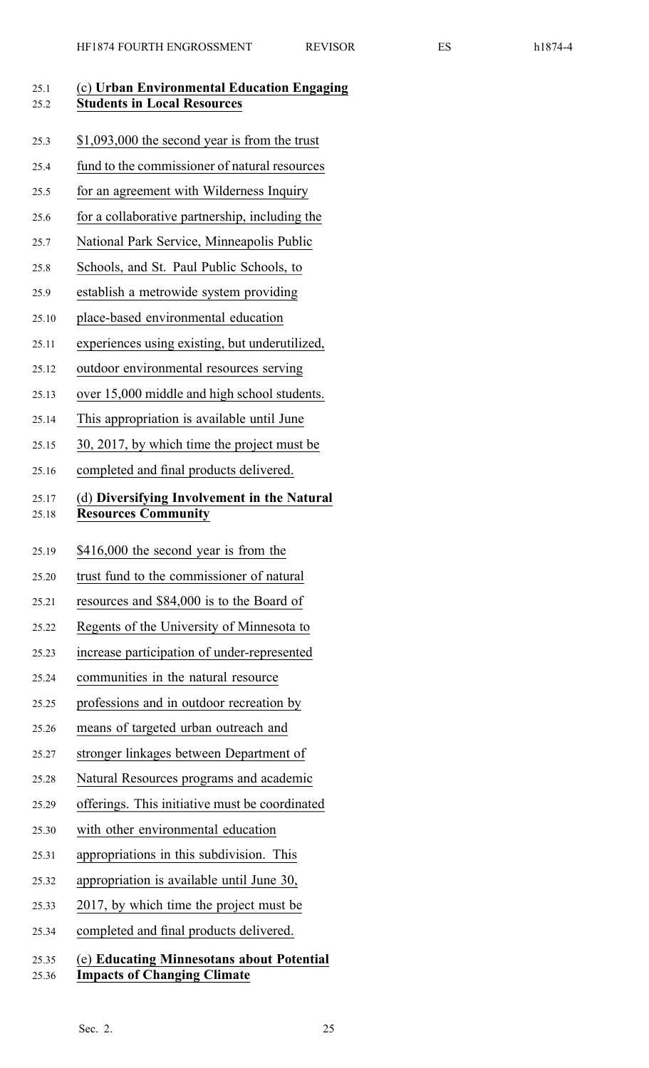| 25.1<br>25.2   | (c) Urban Environmental Education Engaging<br><b>Students in Local Resources</b> |
|----------------|----------------------------------------------------------------------------------|
| 25.3           | $$1,093,000$ the second year is from the trust                                   |
| 25.4           | fund to the commissioner of natural resources                                    |
| 25.5           | for an agreement with Wilderness Inquiry                                         |
| 25.6           | for a collaborative partnership, including the                                   |
| 25.7           | National Park Service, Minneapolis Public                                        |
| 25.8           | Schools, and St. Paul Public Schools, to                                         |
| 25.9           | establish a metrowide system providing                                           |
| 25.10          | place-based environmental education                                              |
| 25.11          | experiences using existing, but underutilized,                                   |
| 25.12          | outdoor environmental resources serving                                          |
| 25.13          | over 15,000 middle and high school students.                                     |
| 25.14          | This appropriation is available until June                                       |
| 25.15          | 30, 2017, by which time the project must be                                      |
| 25.16          | completed and final products delivered.                                          |
| 25.17<br>25.18 | (d) Diversifying Involvement in the Natural<br><b>Resources Community</b>        |
| 25.19          | \$416,000 the second year is from the                                            |
| 25.20          | trust fund to the commissioner of natural                                        |
| 25.21          | resources and \$84,000 is to the Board of                                        |
| 25.22          | Regents of the University of Minnesota to                                        |
| 25.23          | increase participation of under-represented                                      |
| 25.24          | communities in the natural resource                                              |
| 25.25          | professions and in outdoor recreation by                                         |
| 25.26          | means of targeted urban outreach and                                             |
| 25.27          | stronger linkages between Department of                                          |
| 25.28          | Natural Resources programs and academic                                          |
| 25.29          | offerings. This initiative must be coordinated                                   |
| 25.30          | with other environmental education                                               |
| 25.31          | appropriations in this subdivision. This                                         |
| 25.32          | appropriation is available until June 30,                                        |
| 25.33          | 2017, by which time the project must be                                          |
| 25.34          | completed and final products delivered.                                          |
| 25.35<br>25.36 | (e) Educating Minnesotans about Potential<br><b>Impacts of Changing Climate</b>  |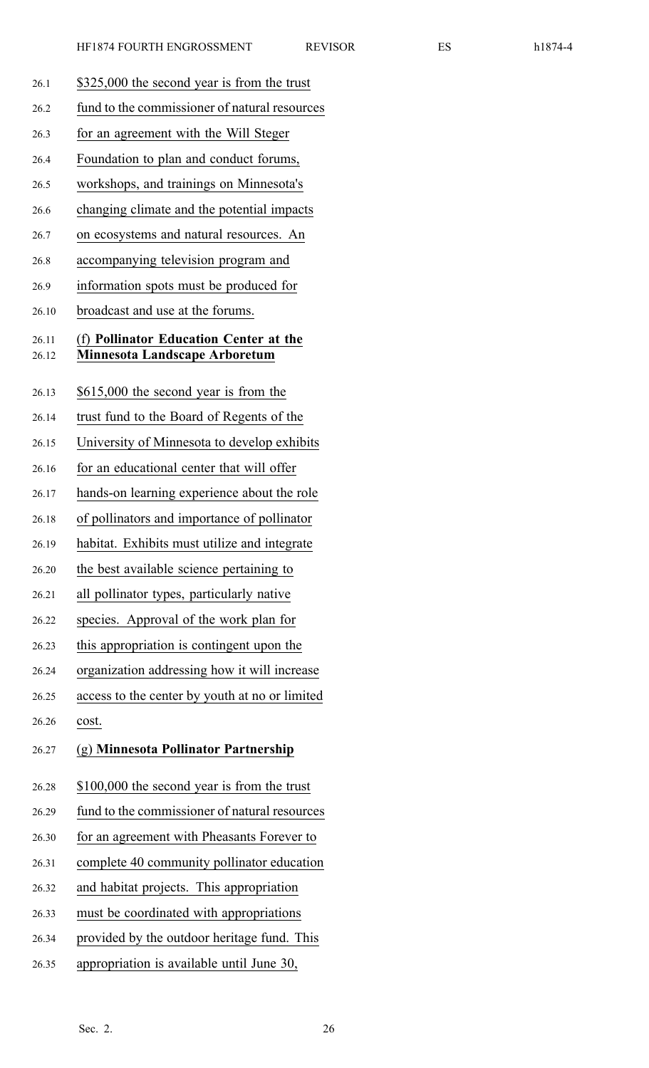26.1 \$325,000 the second year is from the trust 26.2 fund to the commissioner of natural resources 26.3 for an agreemen<sup>t</sup> with the Will Steger 26.4 Foundation to plan and conduct forums, 26.5 workshops, and trainings on Minnesota's 26.6 changing climate and the potential impacts 26.7 on ecosystems and natural resources. An 26.8 accompanying television program and 26.9 information spots must be produced for 26.10 broadcast and use at the forums. 26.11 (f) **Pollinator Education Center at the** 26.12 **Minnesota Landscape Arboretum** 26.13 \$615,000 the second year is from the 26.14 trust fund to the Board of Regents of the 26.15 University of Minnesota to develop exhibits 26.16 for an educational center that will offer 26.17 hands-on learning experience about the role 26.18 of pollinators and importance of pollinator 26.19 habitat. Exhibits must utilize and integrate 26.20 the best available science pertaining to 26.21 all pollinator types, particularly native 26.22 species. Approval of the work plan for 26.23 this appropriation is contingent upon the 26.24 organization addressing how it will increase 26.25 access to the center by youth at no or limited 26.26 cost. 26.27 (g) **Minnesota Pollinator Partnership** 26.28 \$100,000 the second year is from the trust 26.29 fund to the commissioner of natural resources 26.30 for an agreemen<sup>t</sup> with Pheasants Forever to 26.31 complete 40 community pollinator education 26.32 and habitat projects. This appropriation 26.33 must be coordinated with appropriations 26.34 provided by the outdoor heritage fund. This 26.35 appropriation is available until June 30,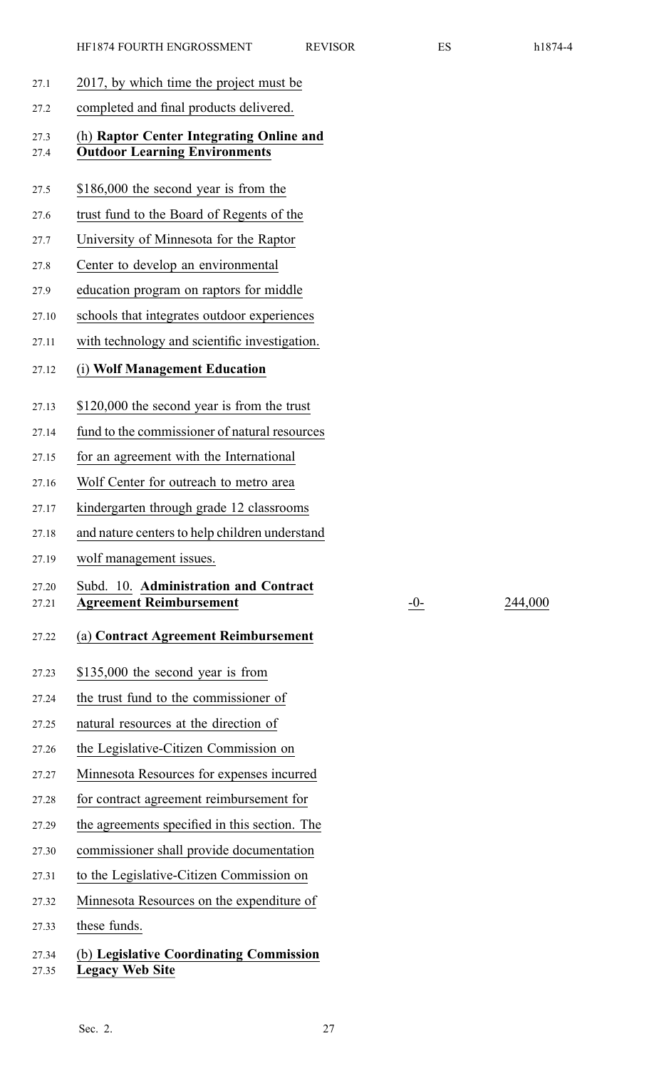- 27.1 2017, by which time the project must be
- 27.2 completed and final products delivered.

### 27.3 (h) **Raptor Center Integrating Online and** 27.4 **Outdoor Learning Environments**

- 27.5 \$186,000 the second year is from the
- 27.6 trust fund to the Board of Regents of the
- 27.7 University of Minnesota for the Raptor
- 27.8 Center to develop an environmental
- 27.9 education program on raptors for middle
- 27.10 schools that integrates outdoor experiences
- 27.11 with technology and scientific investigation.
- 27.12 (i) **Wolf Management Education**
- 27.13 \$120,000 the second year is from the trust
- 27.14 fund to the commissioner of natural resources
- 27.15 for an agreemen<sup>t</sup> with the International
- 27.16 Wolf Center for outreach to metro area
- 27.17 kindergarten through grade 12 classrooms
- 27.18 and nature centers to help children understand
- 27.19 wolf managemen<sup>t</sup> issues.

#### 27.20 Subd. 10. **Administration and Contract** 27.21 **Agreement Reimbursement** -0- 244,000

- 27.22 (a) **Contract Agreement Reimbursement**
- 27.23 \$135,000 the second year is from
- 27.24 the trust fund to the commissioner of
- 27.25 natural resources at the direction of
- 27.26 the Legislative-Citizen Commission on
- 27.27 Minnesota Resources for expenses incurred
- 27.28 for contract agreemen<sup>t</sup> reimbursement for
- 27.29 the agreements specified in this section. The
- 27.30 commissioner shall provide documentation
- 27.31 to the Legislative-Citizen Commission on
- 27.32 Minnesota Resources on the expenditure of
- 27.33 these funds.

# 27.34 (b) **Legislative Coordinating Commission** 27.35 **Legacy Web Site**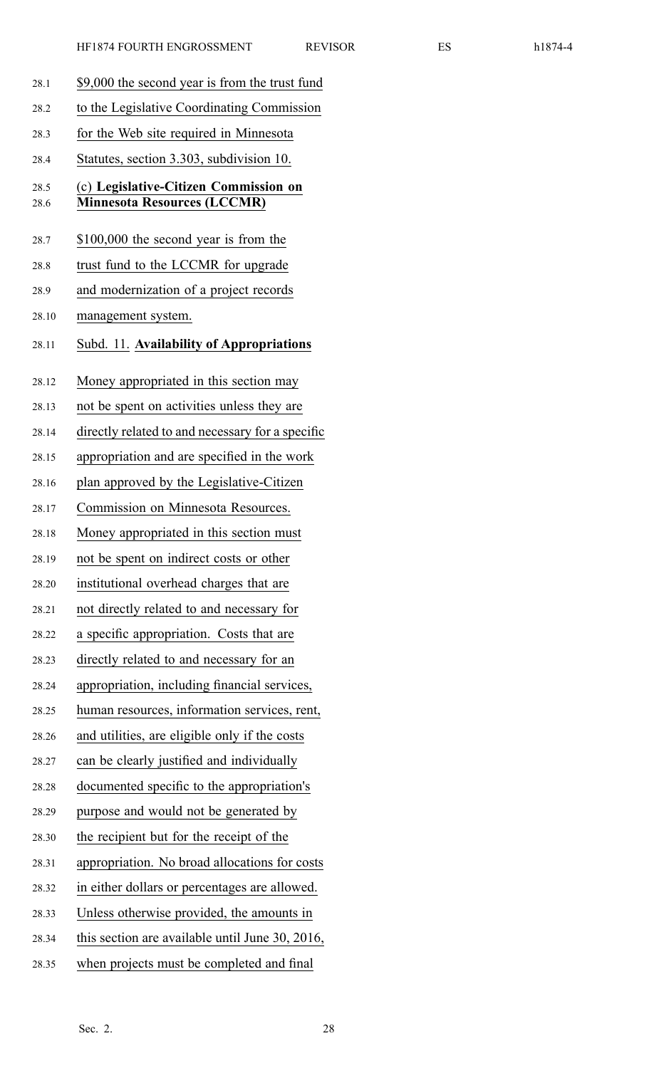| ı | Λ |
|---|---|
|---|---|

| 28.1         | \$9,000 the second year is from the trust fund                              |
|--------------|-----------------------------------------------------------------------------|
| 28.2         | to the Legislative Coordinating Commission                                  |
| 28.3         | for the Web site required in Minnesota                                      |
| 28.4         | Statutes, section 3.303, subdivision 10.                                    |
| 28.5<br>28.6 | (c) Legislative-Citizen Commission on<br><b>Minnesota Resources (LCCMR)</b> |
| 28.7         | \$100,000 the second year is from the                                       |
| 28.8         | trust fund to the LCCMR for upgrade                                         |
| 28.9         | and modernization of a project records                                      |
| 28.10        | management system.                                                          |
| 28.11        | Subd. 11. Availability of Appropriations                                    |
| 28.12        | Money appropriated in this section may                                      |
| 28.13        | not be spent on activities unless they are                                  |
| 28.14        | directly related to and necessary for a specific                            |
| 28.15        | appropriation and are specified in the work                                 |
| 28.16        | plan approved by the Legislative-Citizen                                    |
| 28.17        | Commission on Minnesota Resources.                                          |
| 28.18        | Money appropriated in this section must                                     |
| 28.19        | not be spent on indirect costs or other                                     |
| 28.20        | institutional overhead charges that are                                     |
| 28.21        | not directly related to and necessary for                                   |
| 28.22        | a specific appropriation. Costs that are                                    |
| 28.23        | directly related to and necessary for an                                    |
| 28.24        | appropriation, including financial services,                                |
| 28.25        | human resources, information services, rent,                                |
| 28.26        | and utilities, are eligible only if the costs                               |
| 28.27        | can be clearly justified and individually                                   |
| 28.28        | documented specific to the appropriation's                                  |
| 28.29        | purpose and would not be generated by                                       |
| 28.30        | the recipient but for the receipt of the                                    |
| 28.31        | appropriation. No broad allocations for costs                               |
| 28.32        | in either dollars or percentages are allowed.                               |
| 28.33        | Unless otherwise provided, the amounts in                                   |
| 28.34        | this section are available until June 30, 2016,                             |
| 28.35        | when projects must be completed and final                                   |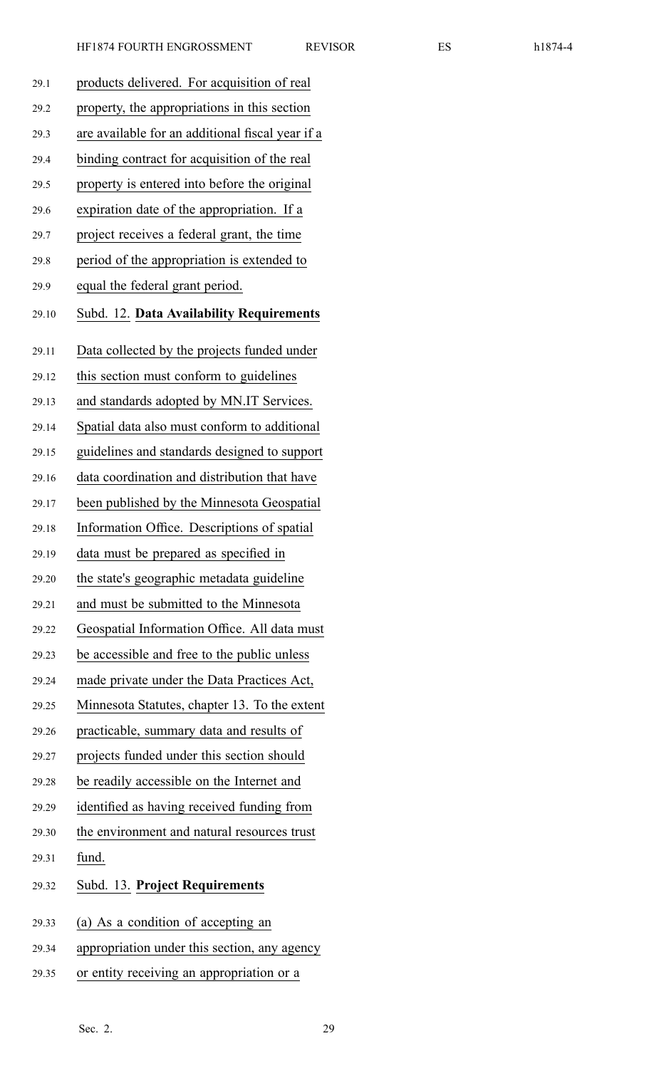| 29.1  | products delivered. For acquisition of real      |
|-------|--------------------------------------------------|
| 29.2  | property, the appropriations in this section     |
| 29.3  | are available for an additional fiscal year if a |
| 29.4  | binding contract for acquisition of the real     |
| 29.5  | property is entered into before the original     |
| 29.6  | expiration date of the appropriation. If a       |
| 29.7  | project receives a federal grant, the time       |
| 29.8  | period of the appropriation is extended to       |
| 29.9  | equal the federal grant period.                  |
| 29.10 | Subd. 12. Data Availability Requirements         |
| 29.11 | Data collected by the projects funded under      |
| 29.12 | this section must conform to guidelines          |
| 29.13 | and standards adopted by MN.IT Services.         |
| 29.14 | Spatial data also must conform to additional     |
| 29.15 | guidelines and standards designed to support     |
| 29.16 | data coordination and distribution that have     |
| 29.17 | been published by the Minnesota Geospatial       |
| 29.18 | Information Office. Descriptions of spatial      |
| 29.19 | data must be prepared as specified in            |
| 29.20 | the state's geographic metadata guideline        |
| 29.21 | and must be submitted to the Minnesota           |
| 29.22 | Geospatial Information Office. All data must     |
| 29.23 | be accessible and free to the public unless      |
| 29.24 | made private under the Data Practices Act,       |
| 29.25 | Minnesota Statutes, chapter 13. To the extent    |
| 29.26 | practicable, summary data and results of         |
| 29.27 | projects funded under this section should        |
| 29.28 | be readily accessible on the Internet and        |
| 29.29 | identified as having received funding from       |
| 29.30 | the environment and natural resources trust      |
| 29.31 | fund.                                            |
| 29.32 | Subd. 13. Project Requirements                   |
| 29.33 | (a) As a condition of accepting an               |
| 29.34 | appropriation under this section, any agency     |
| 29.35 | or entity receiving an appropriation or a        |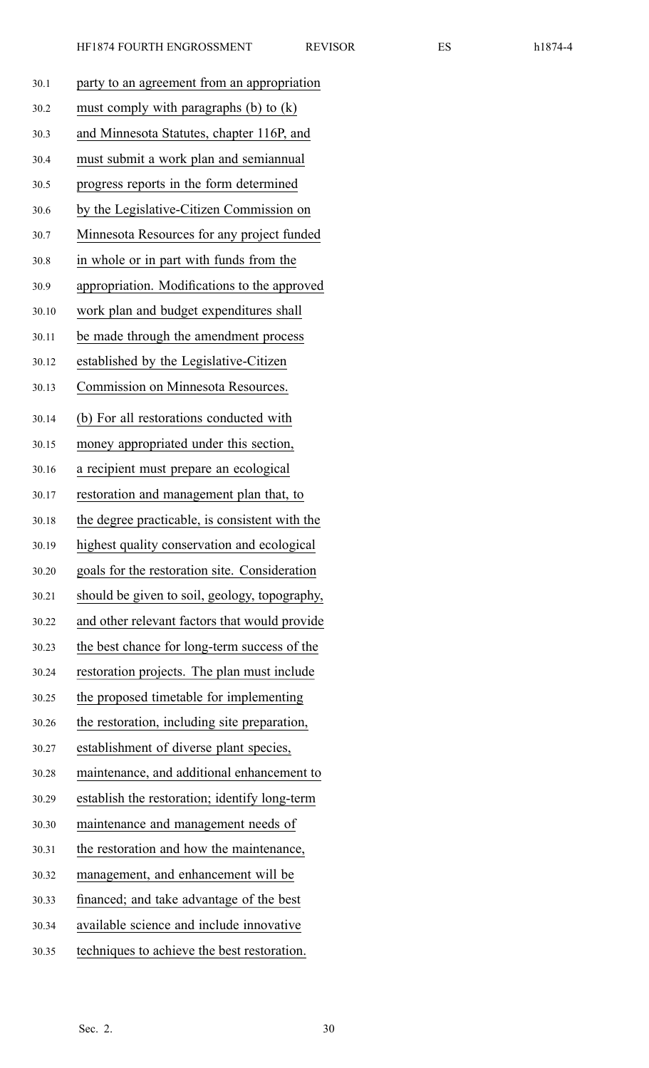| 30.1  | party to an agreement from an appropriation    |
|-------|------------------------------------------------|
| 30.2  | must comply with paragraphs $(b)$ to $(k)$     |
| 30.3  | and Minnesota Statutes, chapter 116P, and      |
| 30.4  | must submit a work plan and semiannual         |
| 30.5  | progress reports in the form determined        |
| 30.6  | by the Legislative-Citizen Commission on       |
| 30.7  | Minnesota Resources for any project funded     |
| 30.8  | in whole or in part with funds from the        |
| 30.9  | appropriation. Modifications to the approved   |
| 30.10 | work plan and budget expenditures shall        |
| 30.11 | be made through the amendment process          |
| 30.12 | established by the Legislative-Citizen         |
| 30.13 | Commission on Minnesota Resources.             |
| 30.14 | (b) For all restorations conducted with        |
| 30.15 | money appropriated under this section,         |
| 30.16 | a recipient must prepare an ecological         |
| 30.17 | restoration and management plan that, to       |
| 30.18 | the degree practicable, is consistent with the |
| 30.19 | highest quality conservation and ecological    |
| 30.20 | goals for the restoration site. Consideration  |
| 30.21 | should be given to soil, geology, topography,  |
| 30.22 | and other relevant factors that would provide  |
| 30.23 | the best chance for long-term success of the   |
| 30.24 | restoration projects. The plan must include    |
| 30.25 | the proposed timetable for implementing        |
| 30.26 | the restoration, including site preparation,   |
| 30.27 | establishment of diverse plant species,        |
| 30.28 | maintenance, and additional enhancement to     |
| 30.29 | establish the restoration; identify long-term  |
| 30.30 | maintenance and management needs of            |
| 30.31 | the restoration and how the maintenance,       |
| 30.32 | management, and enhancement will be            |
| 30.33 | financed; and take advantage of the best       |
| 30.34 | available science and include innovative       |
| 30.35 | techniques to achieve the best restoration.    |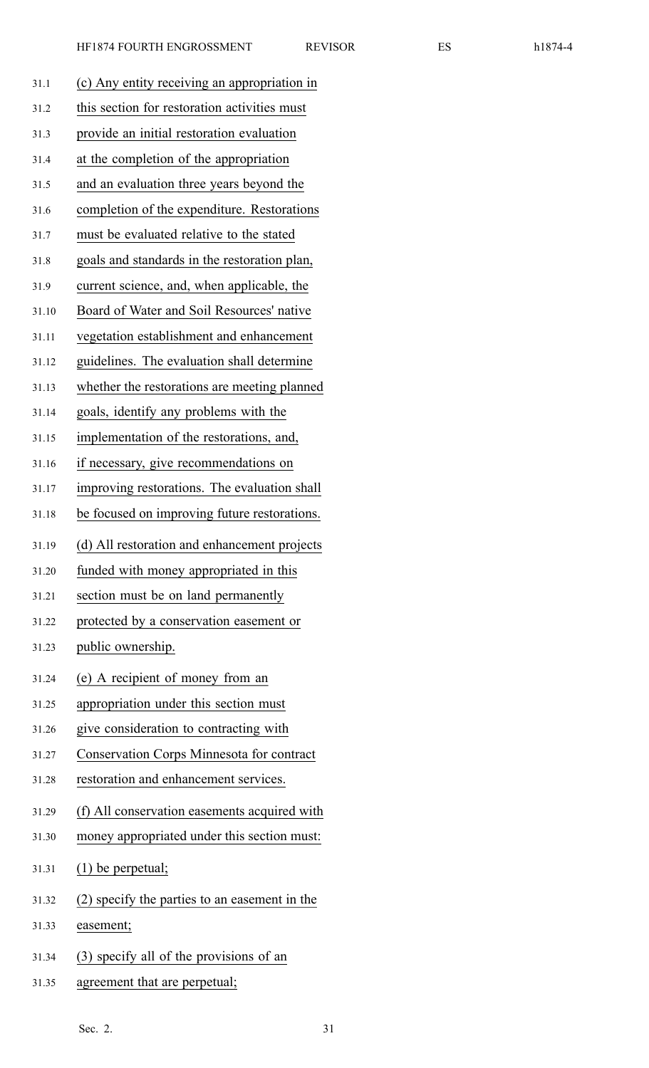| 31.1  | (c) Any entity receiving an appropriation in     |
|-------|--------------------------------------------------|
| 31.2  | this section for restoration activities must     |
| 31.3  | provide an initial restoration evaluation        |
| 31.4  | at the completion of the appropriation           |
| 31.5  | and an evaluation three years beyond the         |
| 31.6  | completion of the expenditure. Restorations      |
| 31.7  | must be evaluated relative to the stated         |
| 31.8  | goals and standards in the restoration plan,     |
| 31.9  | current science, and, when applicable, the       |
| 31.10 | Board of Water and Soil Resources' native        |
| 31.11 | vegetation establishment and enhancement         |
| 31.12 | guidelines. The evaluation shall determine       |
| 31.13 | whether the restorations are meeting planned     |
| 31.14 | goals, identify any problems with the            |
| 31.15 | implementation of the restorations, and,         |
| 31.16 | if necessary, give recommendations on            |
| 31.17 | improving restorations. The evaluation shall     |
| 31.18 | be focused on improving future restorations.     |
| 31.19 | (d) All restoration and enhancement projects     |
| 31.20 | funded with money appropriated in this           |
| 31.21 | section must be on land permanently              |
| 31.22 | protected by a conservation easement or          |
| 31.23 | public ownership.                                |
| 31.24 | (e) A recipient of money from an                 |
| 31.25 | appropriation under this section must            |
| 31.26 | give consideration to contracting with           |
| 31.27 | <b>Conservation Corps Minnesota for contract</b> |
| 31.28 | restoration and enhancement services.            |
| 31.29 | (f) All conservation easements acquired with     |
| 31.30 | money appropriated under this section must:      |
| 31.31 | $(1)$ be perpetual;                              |
| 31.32 | (2) specify the parties to an easement in the    |
| 31.33 | easement;                                        |
| 31.34 | (3) specify all of the provisions of an          |
| 31.35 | agreement that are perpetual;                    |
|       |                                                  |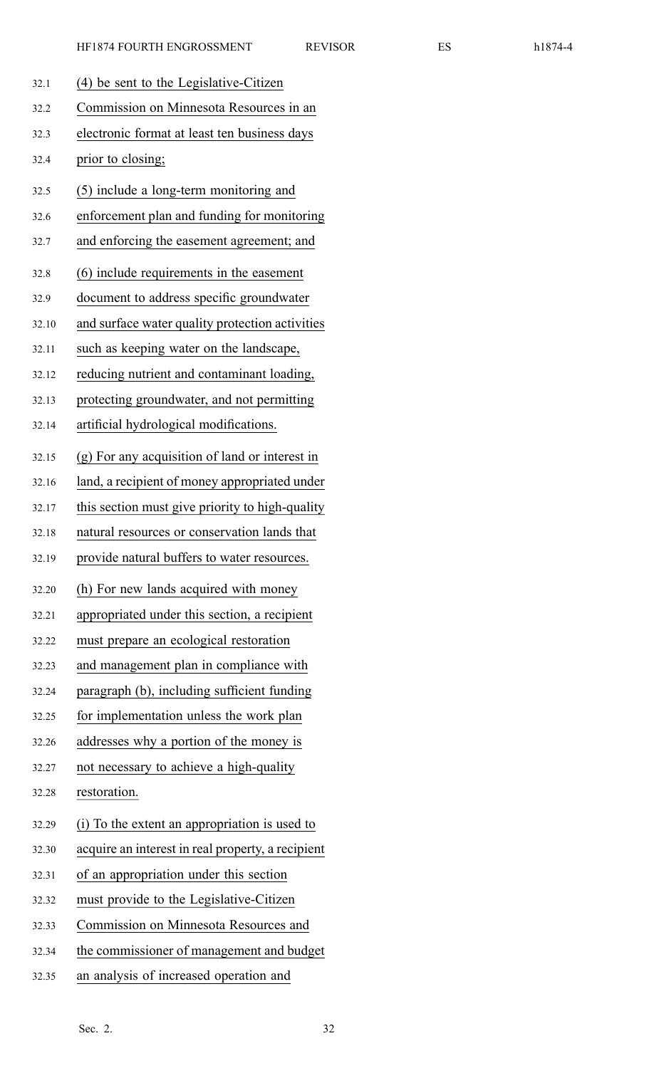| 32.1  | (4) be sent to the Legislative-Citizen            |
|-------|---------------------------------------------------|
| 32.2  | Commission on Minnesota Resources in an           |
| 32.3  | electronic format at least ten business days      |
| 32.4  | prior to closing;                                 |
| 32.5  | (5) include a long-term monitoring and            |
| 32.6  | enforcement plan and funding for monitoring       |
| 32.7  | and enforcing the easement agreement; and         |
| 32.8  | (6) include requirements in the easement          |
| 32.9  | document to address specific groundwater          |
| 32.10 | and surface water quality protection activities   |
| 32.11 | such as keeping water on the landscape,           |
| 32.12 | reducing nutrient and contaminant loading,        |
| 32.13 | protecting groundwater, and not permitting        |
| 32.14 | artificial hydrological modifications.            |
| 32.15 | (g) For any acquisition of land or interest in    |
| 32.16 | land, a recipient of money appropriated under     |
| 32.17 | this section must give priority to high-quality   |
| 32.18 | natural resources or conservation lands that      |
| 32.19 | provide natural buffers to water resources.       |
| 32.20 | (h) For new lands acquired with money             |
| 32.21 | appropriated under this section, a recipient      |
| 32.22 | must prepare an ecological restoration            |
| 32.23 | and management plan in compliance with            |
| 32.24 | paragraph (b), including sufficient funding       |
| 32.25 | for implementation unless the work plan           |
| 32.26 | addresses why a portion of the money is           |
| 32.27 | not necessary to achieve a high-quality           |
| 32.28 | restoration.                                      |
| 32.29 | (i) To the extent an appropriation is used to     |
| 32.30 | acquire an interest in real property, a recipient |
| 32.31 | of an appropriation under this section            |
| 32.32 | must provide to the Legislative-Citizen           |
| 32.33 | Commission on Minnesota Resources and             |
| 32.34 | the commissioner of management and budget         |
| 32.35 | an analysis of increased operation and            |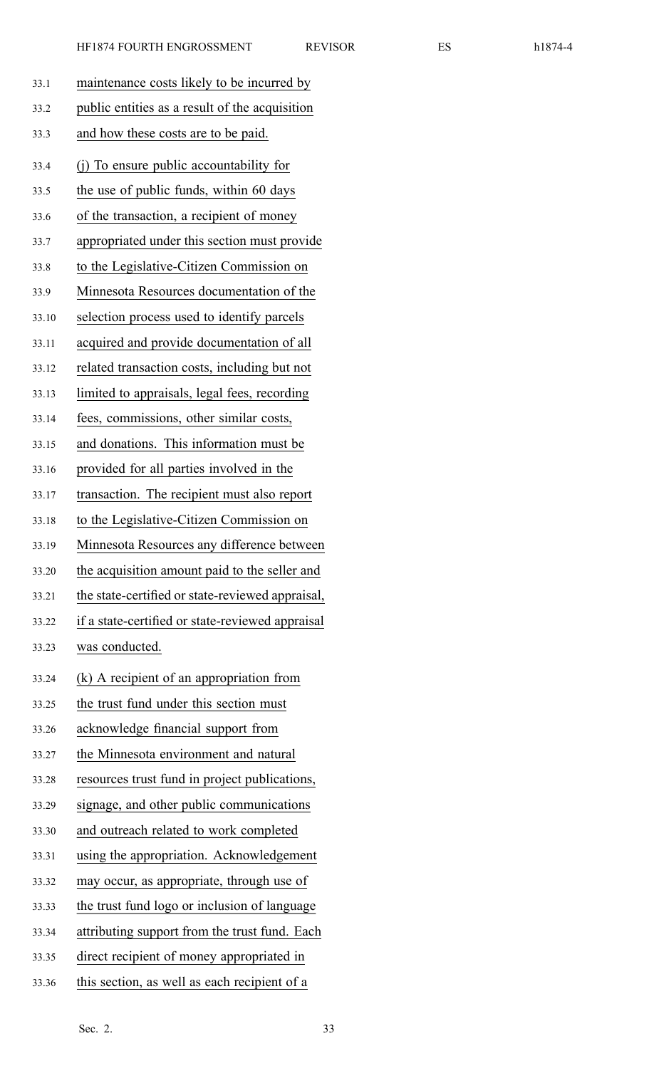| 33.1  | maintenance costs likely to be incurred by       |
|-------|--------------------------------------------------|
| 33.2  | public entities as a result of the acquisition   |
| 33.3  | and how these costs are to be paid.              |
| 33.4  | (j) To ensure public accountability for          |
| 33.5  | the use of public funds, within 60 days          |
| 33.6  | of the transaction, a recipient of money         |
| 33.7  | appropriated under this section must provide     |
| 33.8  | to the Legislative-Citizen Commission on         |
| 33.9  | Minnesota Resources documentation of the         |
| 33.10 | selection process used to identify parcels       |
| 33.11 | acquired and provide documentation of all        |
| 33.12 | related transaction costs, including but not     |
| 33.13 | limited to appraisals, legal fees, recording     |
| 33.14 | fees, commissions, other similar costs,          |
| 33.15 | and donations. This information must be          |
| 33.16 | provided for all parties involved in the         |
| 33.17 | transaction. The recipient must also report      |
| 33.18 | to the Legislative-Citizen Commission on         |
| 33.19 | Minnesota Resources any difference between       |
| 33.20 | the acquisition amount paid to the seller and    |
| 33.21 | the state-certified or state-reviewed appraisal, |
| 33.22 | if a state-certified or state-reviewed appraisal |
| 33.23 | was conducted.                                   |
| 33.24 | (k) A recipient of an appropriation from         |
| 33.25 | the trust fund under this section must           |
| 33.26 | acknowledge financial support from               |
| 33.27 | the Minnesota environment and natural            |
| 33.28 | resources trust fund in project publications,    |
| 33.29 | signage, and other public communications         |
| 33.30 | and outreach related to work completed           |
| 33.31 | using the appropriation. Acknowledgement         |
| 33.32 | may occur, as appropriate, through use of        |
| 33.33 | the trust fund logo or inclusion of language     |
| 33.34 | attributing support from the trust fund. Each    |
| 33.35 | direct recipient of money appropriated in        |
| 33.36 | this section, as well as each recipient of a     |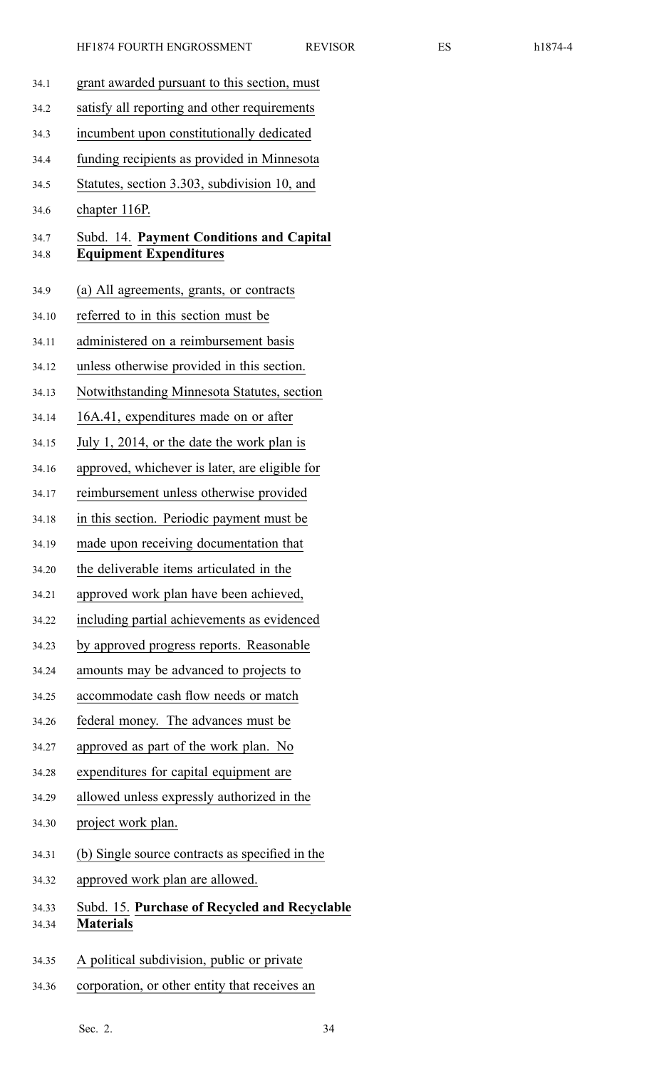|  |  | h1874- |  |
|--|--|--------|--|
|--|--|--------|--|

| 34.1           | grant awarded pursuant to this section, must                              |
|----------------|---------------------------------------------------------------------------|
| 34.2           | satisfy all reporting and other requirements                              |
| 34.3           | incumbent upon constitutionally dedicated                                 |
| 34.4           | funding recipients as provided in Minnesota                               |
| 34.5           | Statutes, section 3.303, subdivision 10, and                              |
| 34.6           | chapter 116P.                                                             |
| 34.7<br>34.8   | Subd. 14. Payment Conditions and Capital<br><b>Equipment Expenditures</b> |
| 34.9           | (a) All agreements, grants, or contracts                                  |
| 34.10          | referred to in this section must be                                       |
| 34.11          | administered on a reimbursement basis                                     |
| 34.12          | unless otherwise provided in this section.                                |
| 34.13          | Notwithstanding Minnesota Statutes, section                               |
| 34.14          | 16A.41, expenditures made on or after                                     |
| 34.15          | July 1, 2014, or the date the work plan is                                |
| 34.16          | approved, whichever is later, are eligible for                            |
| 34.17          | reimbursement unless otherwise provided                                   |
| 34.18          | in this section. Periodic payment must be                                 |
| 34.19          | made upon receiving documentation that                                    |
| 34.20          | the deliverable items articulated in the                                  |
| 34.21          | approved work plan have been achieved,                                    |
| 34.22          | including partial achievements as evidenced                               |
| 34.23          | by approved progress reports. Reasonable                                  |
| 34.24          | amounts may be advanced to projects to                                    |
| 34.25          | accommodate cash flow needs or match                                      |
| 34.26          | federal money. The advances must be                                       |
| 34.27          | approved as part of the work plan. No                                     |
| 34.28          | expenditures for capital equipment are                                    |
| 34.29          | allowed unless expressly authorized in the                                |
| 34.30          | project work plan.                                                        |
| 34.31          | (b) Single source contracts as specified in the                           |
| 34.32          | approved work plan are allowed.                                           |
| 34.33<br>34.34 | Subd. 15. Purchase of Recycled and Recyclable<br><b>Materials</b>         |
| 34.35          | A political subdivision, public or private                                |
| 34.36          | corporation, or other entity that receives an                             |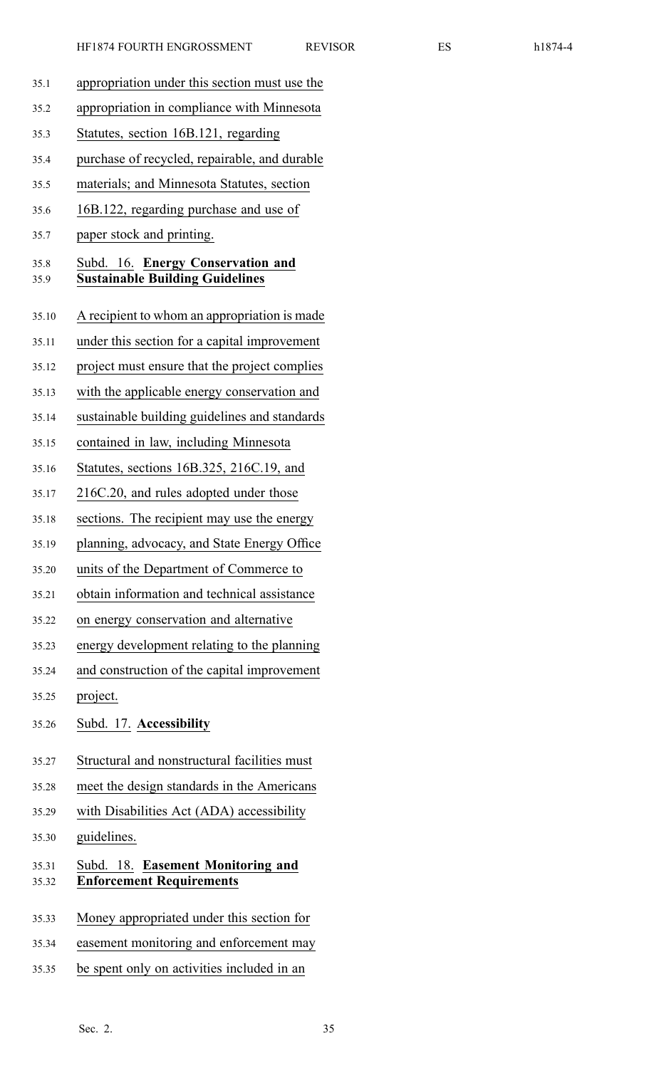|  | ╯<br>r |  |
|--|--------|--|
|--|--------|--|

35.1 appropriation under this section must use the 35.2 appropriation in compliance with Minnesota 35.3 Statutes, section 16B.121, regarding 35.4 purchase of recycled, repairable, and durable 35.5 materials; and Minnesota Statutes, section 35.6 16B.122, regarding purchase and use of 35.7 paper stock and printing. 35.8 Subd. 16. **Energy Conservation and** 35.9 **Sustainable Building Guidelines** 35.10 A recipient to whom an appropriation is made 35.11 under this section for <sup>a</sup> capital improvement 35.12 project must ensure that the project complies 35.13 with the applicable energy conservation and 35.14 sustainable building guidelines and standards 35.15 contained in law, including Minnesota 35.16 Statutes, sections 16B.325, 216C.19, and 35.17 216C.20, and rules adopted under those 35.18 sections. The recipient may use the energy 35.19 planning, advocacy, and State Energy Office 35.20 units of the Department of Commerce to 35.21 obtain information and technical assistance 35.22 on energy conservation and alternative 35.23 energy development relating to the planning 35.24 and construction of the capital improvement 35.25 project. 35.26 Subd. 17. **Accessibility** 35.27 Structural and nonstructural facilities must 35.28 meet the design standards in the Americans 35.29 with Disabilities Act (ADA) accessibility 35.30 guidelines. 35.31 Subd. 18. **Easement Monitoring and** 35.32 **Enforcement Requirements** 35.33 Money appropriated under this section for 35.34 easement monitoring and enforcement may 35.35 be spen<sup>t</sup> only on activities included in an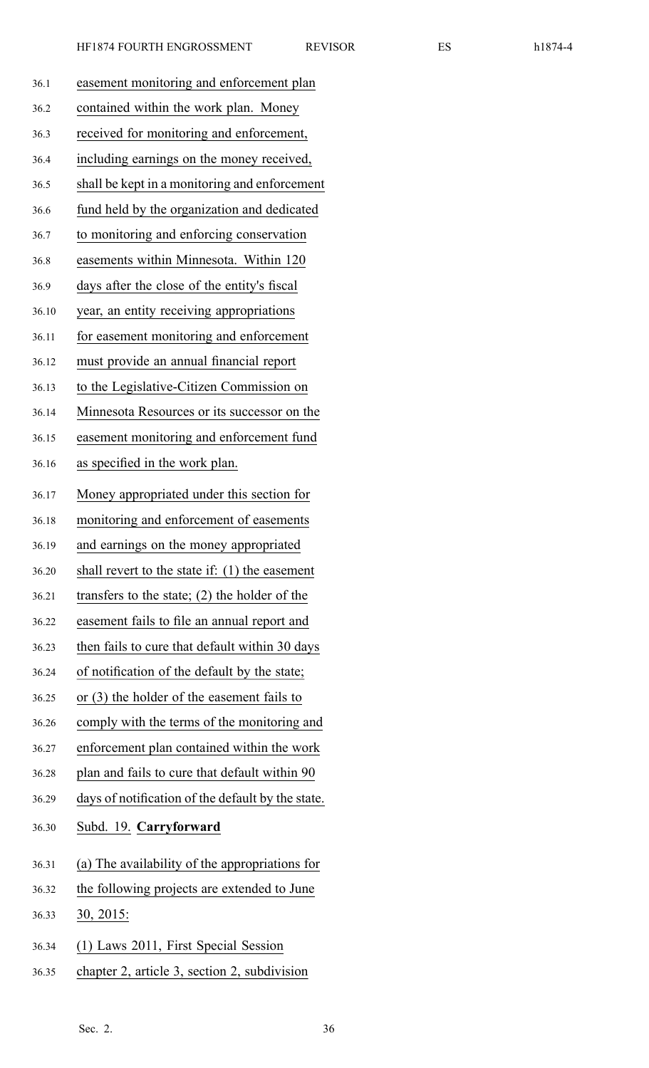| 36.1  | easement monitoring and enforcement plan          |
|-------|---------------------------------------------------|
| 36.2  | contained within the work plan. Money             |
| 36.3  | received for monitoring and enforcement,          |
| 36.4  | including earnings on the money received,         |
| 36.5  | shall be kept in a monitoring and enforcement     |
| 36.6  | fund held by the organization and dedicated       |
| 36.7  | to monitoring and enforcing conservation          |
| 36.8  | easements within Minnesota. Within 120            |
| 36.9  | days after the close of the entity's fiscal       |
| 36.10 | year, an entity receiving appropriations          |
| 36.11 | for easement monitoring and enforcement           |
| 36.12 | must provide an annual financial report           |
| 36.13 | to the Legislative-Citizen Commission on          |
| 36.14 | Minnesota Resources or its successor on the       |
| 36.15 | easement monitoring and enforcement fund          |
| 36.16 | as specified in the work plan.                    |
| 36.17 | Money appropriated under this section for         |
| 36.18 | monitoring and enforcement of easements           |
| 36.19 | and earnings on the money appropriated            |
| 36.20 | shall revert to the state if: $(1)$ the easement  |
| 36.21 | transfers to the state; $(2)$ the holder of the   |
| 36.22 | easement fails to file an annual report and       |
| 36.23 | then fails to cure that default within 30 days    |
| 36.24 | of notification of the default by the state;      |
| 36.25 | or (3) the holder of the easement fails to        |
| 36.26 | comply with the terms of the monitoring and       |
| 36.27 | enforcement plan contained within the work        |
| 36.28 | plan and fails to cure that default within 90     |
| 36.29 | days of notification of the default by the state. |
| 36.30 | Subd. 19. Carryforward                            |
| 36.31 | (a) The availability of the appropriations for    |
| 36.32 | the following projects are extended to June       |
| 36.33 | 30, 2015:                                         |
| 36.34 | (1) Laws 2011, First Special Session              |
| 36.35 | chapter 2, article 3, section 2, subdivision      |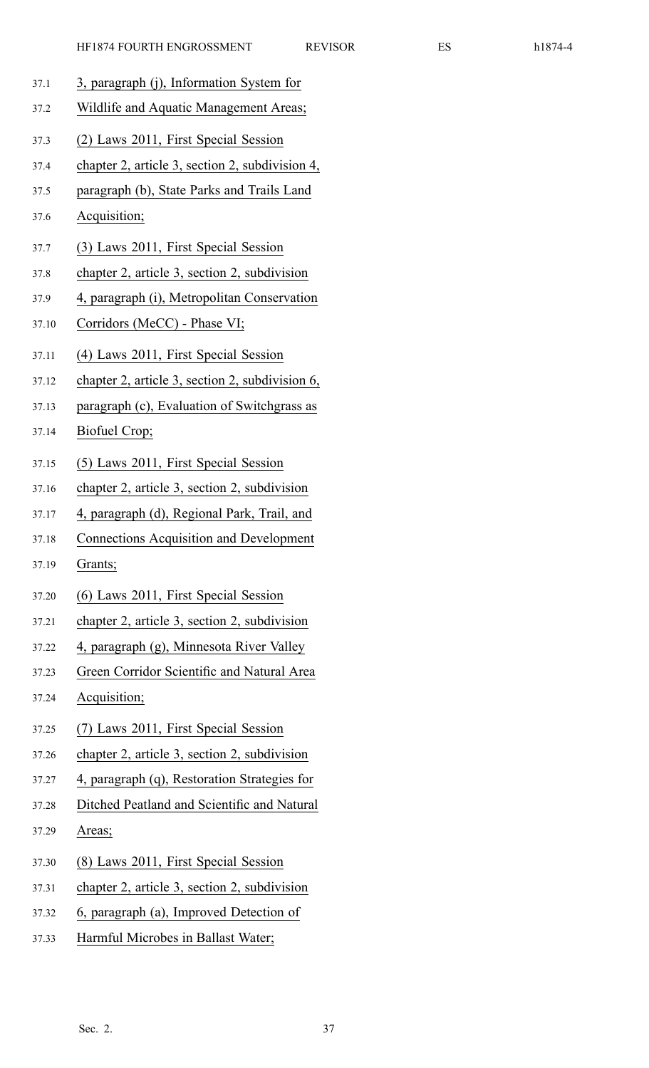- 37.1 3, paragraph (j), Information System for
- 37.2 Wildlife and Aquatic Management Areas;
- 37.3 (2) Laws 2011, First Special Session
- 37.4 chapter 2, article 3, section 2, subdivision 4,
- 37.5 paragraph (b), State Parks and Trails Land
- 37.6 Acquisition;
- 37.7 (3) Laws 2011, First Special Session
- 37.8 chapter 2, article 3, section 2, subdivision
- 37.9 4, paragraph (i), Metropolitan Conservation
- 37.10 Corridors (MeCC) Phase VI;
- 37.11 (4) Laws 2011, First Special Session
- 37.12 chapter 2, article 3, section 2, subdivision 6,
- 37.13 paragraph (c), Evaluation of Switchgrass as
- 37.14 Biofuel Crop;
- 37.15 (5) Laws 2011, First Special Session
- 37.16 chapter 2, article 3, section 2, subdivision
- 37.17 4, paragraph (d), Regional Park, Trail, and
- 37.18 Connections Acquisition and Development
- 37.19 Grants;
- 37.20 (6) Laws 2011, First Special Session
- 37.21 chapter 2, article 3, section 2, subdivision
- 37.22 4, paragraph (g), Minnesota River Valley
- 37.23 Green Corridor Scientific and Natural Area
- 37.24 Acquisition;
- 37.25 (7) Laws 2011, First Special Session
- 37.26 chapter 2, article 3, section 2, subdivision
- 37.27 4, paragraph (q), Restoration Strategies for
- 37.28 Ditched Peatland and Scientific and Natural
- 37.29 Areas;
- 37.30 (8) Laws 2011, First Special Session
- 37.31 chapter 2, article 3, section 2, subdivision
- 37.32 6, paragraph (a), Improved Detection of
- 37.33 Harmful Microbes in Ballast Water;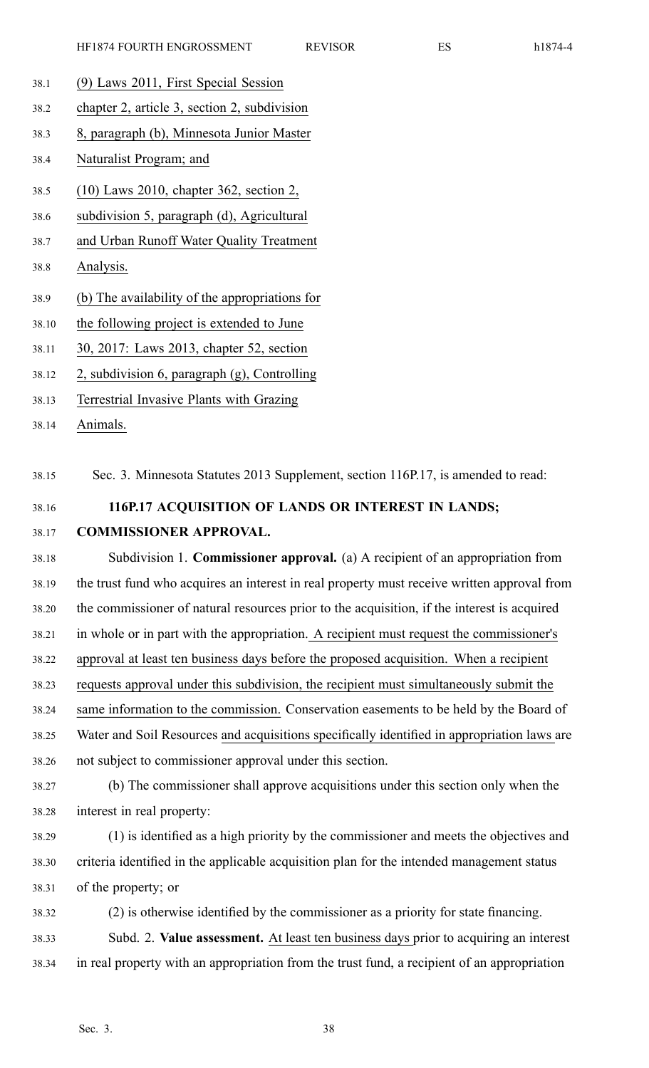- 38.1 (9) Laws 2011, First Special Session
- 38.2 chapter 2, article 3, section 2, subdivision
- 38.3 8, paragraph (b), Minnesota Junior Master
- 38.4 Naturalist Program; and
- 38.5 (10) Laws 2010, chapter 362, section 2,
- 38.6 subdivision 5, paragraph (d), Agricultural
- 38.7 and Urban Runoff Water Quality Treatment
- 38.8 Analysis.
- 38.9 (b) The availability of the appropriations for
- 38.10 the following project is extended to June
- 38.11 30, 2017: Laws 2013, chapter 52, section
- 38.12 2, subdivision 6, paragraph (g), Controlling
- 38.13 Terrestrial Invasive Plants with Grazing
- 38.14 Animals.

38.15 Sec. 3. Minnesota Statutes 2013 Supplement, section 116P.17, is amended to read:

- 38.16 **116P.17 ACQUISITION OF LANDS OR INTEREST IN LANDS;**
- 38.17 **COMMISSIONER APPROVAL.**

38.18 Subdivision 1. **Commissioner approval.** (a) A recipient of an appropriation from 38.19 the trust fund who acquires an interest in real property must receive written approval from 38.20 the commissioner of natural resources prior to the acquisition, if the interest is acquired 38.21 in whole or in par<sup>t</sup> with the appropriation. A recipient must reques<sup>t</sup> the commissioner's 38.22 approval at least ten business days before the proposed acquisition. When <sup>a</sup> recipient 38.23 requests approval under this subdivision, the recipient must simultaneously submit the 38.24 same information to the commission. Conservation easements to be held by the Board of 38.25 Water and Soil Resources and acquisitions specifically identified in appropriation laws are 38.26 not subject to commissioner approval under this section.

- 38.27 (b) The commissioner shall approve acquisitions under this section only when the 38.28 interest in real property:
- 38.29 (1) is identified as <sup>a</sup> high priority by the commissioner and meets the objectives and 38.30 criteria identified in the applicable acquisition plan for the intended managemen<sup>t</sup> status 38.31 of the property; or
- 38.32 (2) is otherwise identified by the commissioner as <sup>a</sup> priority for state financing. 38.33 Subd. 2. **Value assessment.** At least ten business days prior to acquiring an interest 38.34 in real property with an appropriation from the trust fund, <sup>a</sup> recipient of an appropriation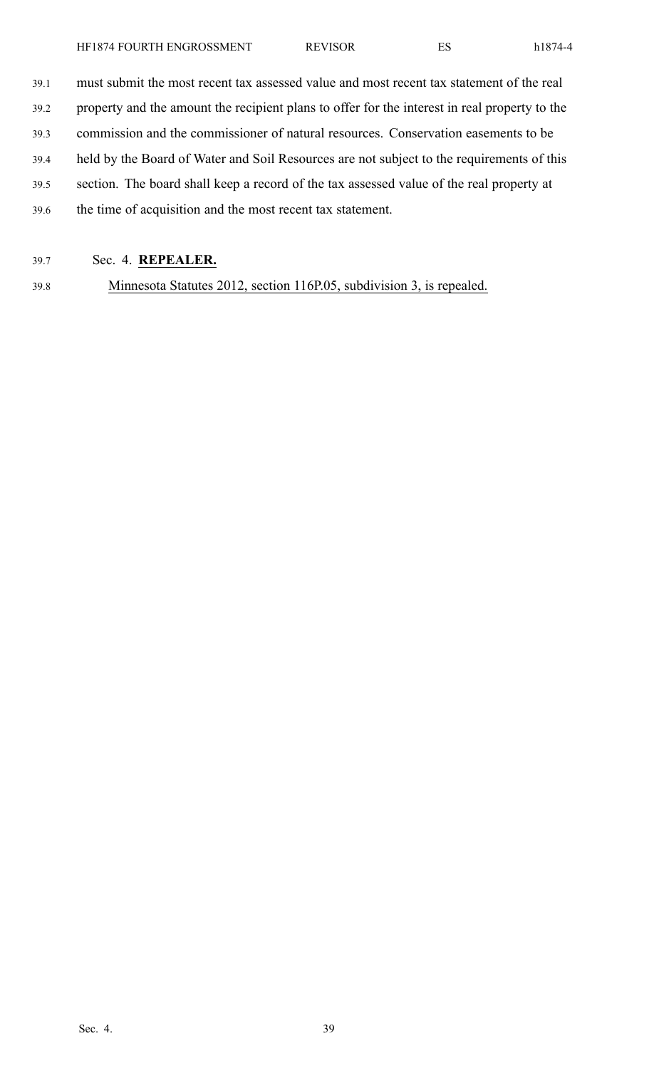39.1 must submit the most recent tax assessed value and most recent tax statement of the real 39.2 property and the amount the recipient plans to offer for the interest in real property to the

39.3 commission and the commissioner of natural resources. Conservation easements to be

39.4 held by the Board of Water and Soil Resources are not subject to the requirements of this

- 39.5 section. The board shall keep <sup>a</sup> record of the tax assessed value of the real property at
- 39.6 the time of acquisition and the most recent tax statement.
- 39.7 Sec. 4. **REPEALER.**

39.8 Minnesota Statutes 2012, section 116P.05, subdivision 3, is repealed.